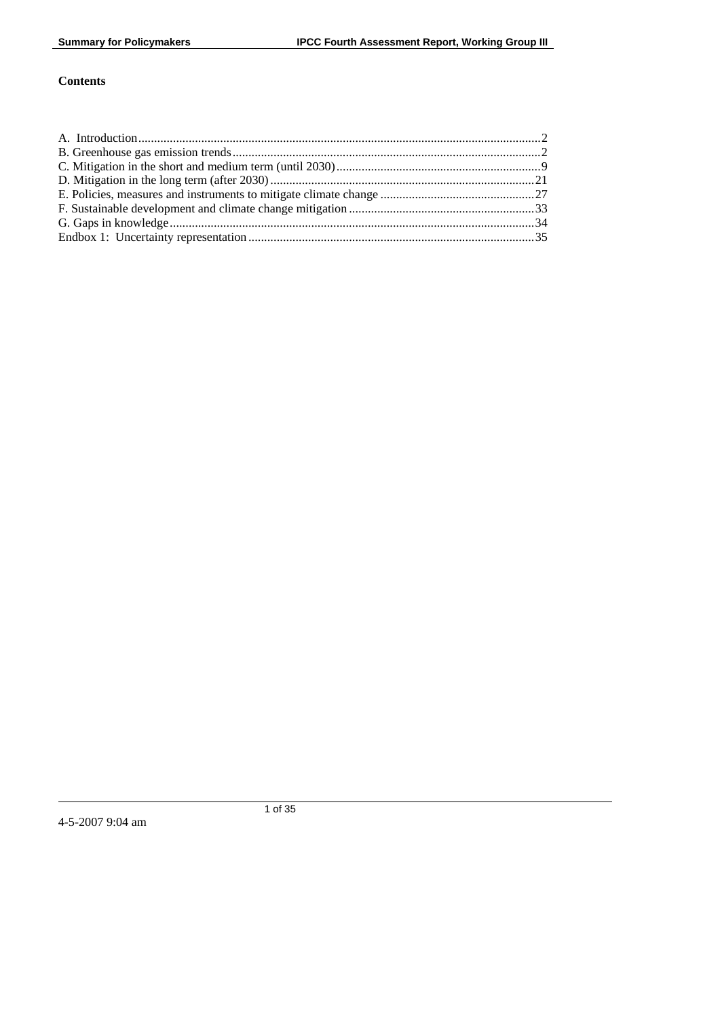# **Contents**

l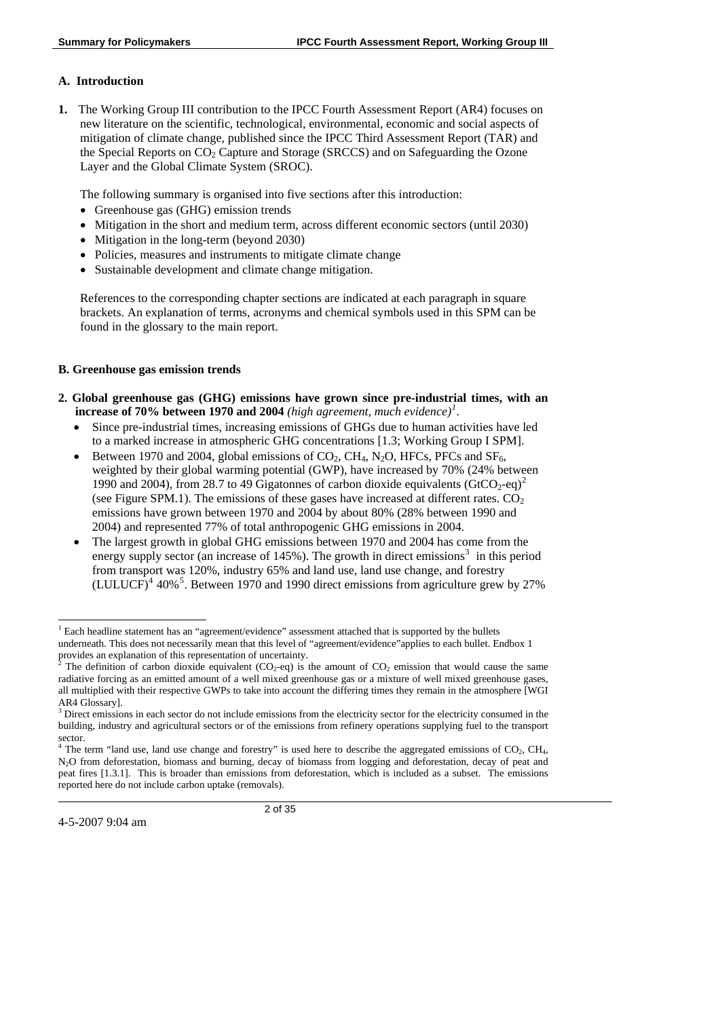# <span id="page-1-0"></span>**A. Introduction**

**1.** The Working Group III contribution to the IPCC Fourth Assessment Report (AR4) focuses on new literature on the scientific, technological, environmental, economic and social aspects of mitigation of climate change, published since the IPCC Third Assessment Report (TAR) and the Special Reports on CO2 Capture and Storage (SRCCS) and on Safeguarding the Ozone Layer and the Global Climate System (SROC).

The following summary is organised into five sections after this introduction:

- Greenhouse gas (GHG) emission trends
- Mitigation in the short and medium term, across different economic sectors (until 2030)
- Mitigation in the long-term (beyond 2030)
- Policies, measures and instruments to mitigate climate change
- Sustainable development and climate change mitigation.

References to the corresponding chapter sections are indicated at each paragraph in square brackets. An explanation of terms, acronyms and chemical symbols used in this SPM can be found in the glossary to the main report.

# **B. Greenhouse gas emission trends**

- **2. Global greenhouse gas (GHG) emissions have grown since pre-industrial times, with an increase of 70% between 1970 and 2004** *(high agreement, much evidence)[1](#page-1-1) .* 
	- Since pre-industrial times, increasing emissions of GHGs due to human activities have led to a marked increase in atmospheric GHG concentrations [1.3; Working Group I SPM].
	- Between 1970 and 2004, global emissions of  $CO_2$ ,  $CH_4$ , N<sub>2</sub>O, HFCs, PFCs and SF<sub>6</sub>, weighted by their global warming potential (GWP), have increased by 70% (24% between 1990 and [2](#page-1-2)004), from 28.7 to 49 Gigatonnes of carbon dioxide equivalents  $(GtCO<sub>2</sub>-eq)<sup>2</sup>$ (see Figure SPM.1). The emissions of these gases have increased at different rates.  $CO<sub>2</sub>$ emissions have grown between 1970 and 2004 by about 80% (28% between 1990 and 2004) and represented 77% of total anthropogenic GHG emissions in 2004.
	- The largest growth in global GHG emissions between 1970 and 2004 has come from the energy supply sector (an increase of  $145\%$ ). The growth in direct emissions<sup>[3](#page-1-3)</sup> in this period from transport was 120%, industry 65% and land use, land use change, and forestry  $(LULUCF)<sup>4</sup> 40\%$  $(LULUCF)<sup>4</sup> 40\%$  $(LULUCF)<sup>4</sup> 40\%$ <sup>[5](#page-1-5)</sup>. Between 1970 and 1990 direct emissions from agriculture grew by 27%

<span id="page-1-5"></span><span id="page-1-4"></span><span id="page-1-3"></span><span id="page-1-2"></span><span id="page-1-1"></span>l

 $\overline{a}$ <sup>1</sup> Each headline statement has an "agreement/evidence" assessment attached that is supported by the bullets underneath. This does not necessarily mean that this level of "agreement/evidence"applies to each bullet. Endbox 1 provides an explanation of this representation of uncertainty.<br> $2 \text{ The definition of carbon divided equivalent } (CO, \text{eq})$  is the set of the set of the set of the set of the set of the set of the set of the set of the set of the set of the set of the set of t

The definition of carbon dioxide equivalent  $(CO<sub>2</sub>-eq)$  is the amount of  $CO<sub>2</sub>$  emission that would cause the same radiative forcing as an emitted amount of a well mixed greenhouse gas or a mixture of well mixed greenhouse gases, all multiplied with their respective GWPs to take into account the differing times they remain in the atmosphere [WGI AR4 Glossary].

<sup>&</sup>lt;sup>3</sup> Direct emissions in each sector do not include emissions from the electricity sector for the electricity consumed in the building, industry and agricultural sectors or of the emissions from refinery operations supplying fuel to the transport sector.

 $4$  The term "land use, land use change and forestry" is used here to describe the aggregated emissions of CO<sub>2</sub>, CH<sub>4</sub>, N2O from deforestation, biomass and burning, decay of biomass from logging and deforestation, decay of peat and peat fires [1.3.1]. This is broader than emissions from deforestation, which is included as a subset. The emissions reported here do not include carbon uptake (removals).

<sup>2</sup> of 35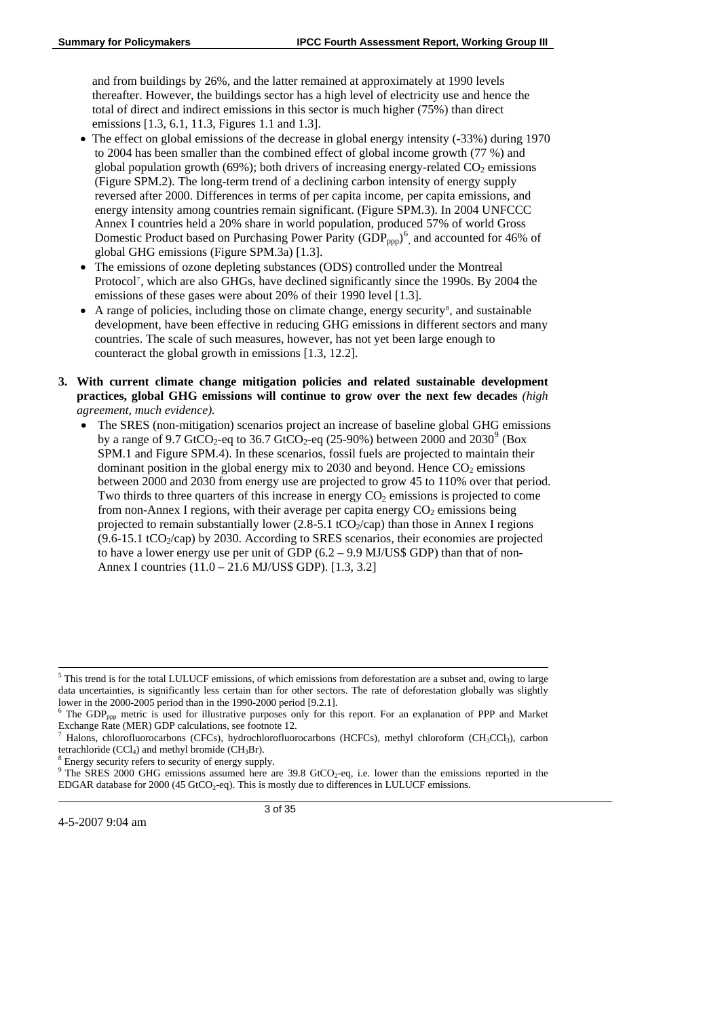and from buildings by 26%, and the latter remained at approximately at 1990 levels thereafter. However, the buildings sector has a high level of electricity use and hence the total of direct and indirect emissions in this sector is much higher (75%) than direct emissions [1.3, 6.1, 11.3, Figures 1.1 and 1.3].

- The effect on global emissions of the decrease in global energy intensity (-33%) during 1970 to 2004 has been smaller than the combined effect of global income growth (77 %) and global population growth (69%); both drivers of increasing energy-related  $CO<sub>2</sub>$  emissions (Figure SPM.2). The long-term trend of a declining carbon intensity of energy supply reversed after 2000. Differences in terms of per capita income, per capita emissions, and energy intensity among countries remain significant. (Figure SPM.3). In 2004 UNFCCC Annex I countries held a 20% share in world population, produced 57% of world Gross Domestic Product based on Purchasing Power Parity  $(GDP_{ppp})^6$  $(GDP_{ppp})^6$  and accounted for 46% of global GHG emissions (Figure SPM.3a) [1.3].
- The emissions of ozone depleting substances (ODS) controlled under the Montreal Protocol[7](#page-2-1) , which are also GHGs, have declined significantly since the 1990s. By 2004 the emissions of these gases were about 20% of their 1990 level [1.3].
- A range of policies, including those on climate change, energy security<sup>[8](#page-2-2)</sup>, and sustainable development, have been effective in reducing GHG emissions in different sectors and many countries. The scale of such measures, however, has not yet been large enough to counteract the global growth in emissions [1.3, 12.2].
- **3. With current climate change mitigation policies and related sustainable development practices, global GHG emissions will continue to grow over the next few decades** *(high agreement, much evidence).* 
	- The SRES (non-mitigation) scenarios project an increase of baseline global GHG emissions by a range of [9](#page-2-3).7 GtCO<sub>2</sub>-eq to 36.7 GtCO<sub>2</sub>-eq (25-90%) between 2000 and 2030<sup>9</sup> (Box SPM.1 and Figure SPM.4). In these scenarios, fossil fuels are projected to maintain their dominant position in the global energy mix to  $2030$  and beyond. Hence  $CO<sub>2</sub>$  emissions between 2000 and 2030 from energy use are projected to grow 45 to 110% over that period. Two thirds to three quarters of this increase in energy  $CO<sub>2</sub>$  emissions is projected to come from non-Annex I regions, with their average per capita energy  $CO<sub>2</sub>$  emissions being projected to remain substantially lower (2.8-5.1 tCO $_2$ /cap) than those in Annex I regions  $(9.6-15.1 \text{ tCO}_{2}/\text{cap})$  by 2030. According to SRES scenarios, their economies are projected to have a lower energy use per unit of GDP  $(6.2 - 9.9 \text{ MJ}/\text{USS} \text{ GDP})$  than that of non-Annex I countries (11.0 – 21.6 MJ/US\$ GDP). [1.3, 3.2]

<span id="page-2-3"></span><span id="page-2-2"></span><span id="page-2-1"></span><span id="page-2-0"></span>l

l

 $5$  This trend is for the total LULUCF emissions, of which emissions from deforestation are a subset and, owing to large data uncertainties, is significantly less certain than for other sectors. The rate of deforestation globally was slightly lower in the 2000-2005 period than in the 1990-2000 period [9.2.1].

<sup>6</sup> The GDP<sub>ppp</sub> metric is used for illustrative purposes only for this report. For an explanation of PPP and Market Exchange Rate (MER) GDP calculations, see footnote 12.

<sup>7</sup> Halons, chlorofluorocarbons (CFCs), hydrochlorofluorocarbons (HCFCs), methyl chloroform (CH3CCl3), carbon tetrachloride (CCl<sub>4</sub>) and methyl bromide (CH<sub>3</sub>Br).

<sup>&</sup>lt;sup>8</sup> Energy security refers to security of energy supply.

<sup>&</sup>lt;sup>9</sup> The SRES 2000 GHG emissions assumed here are 39.8 GtCO<sub>2</sub>-eq, i.e. lower than the emissions reported in the EDGAR database for 2000 (45 GtCO<sub>2</sub>-eq). This is mostly due to differences in LULUCF emissions.

<sup>3</sup> of 35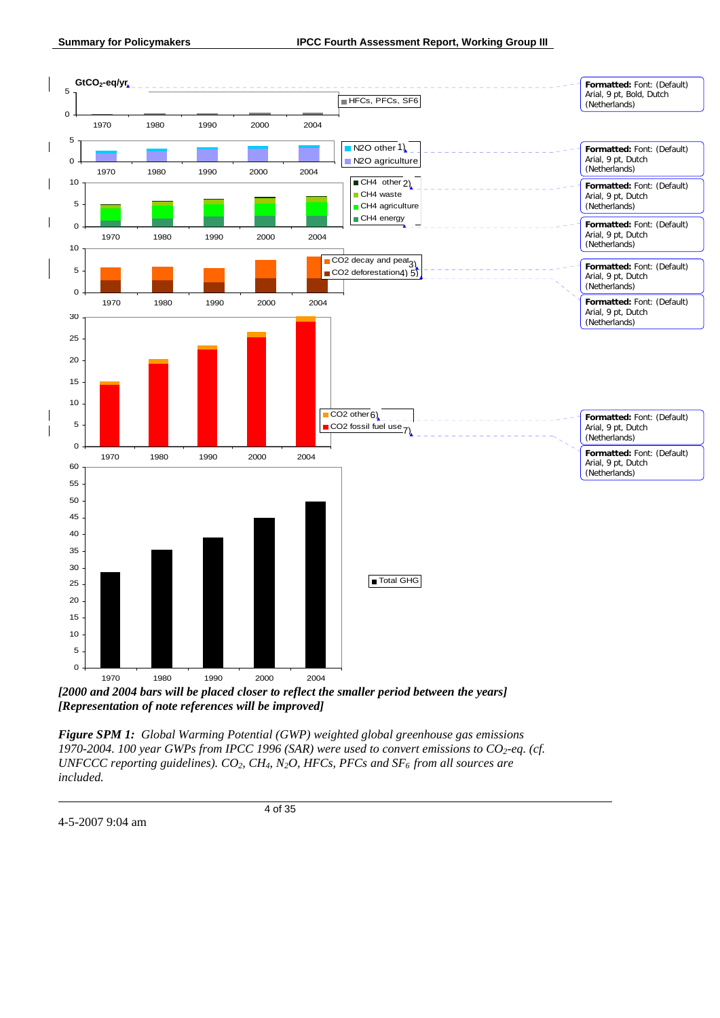

*[Representation of note references will be improved]* 

*Figure SPM 1: Global Warming Potential (GWP) weighted global greenhouse gas emissions 1970-2004. 100 year GWPs from IPCC 1996 (SAR) were used to convert emissions to CO2-eq. (cf. UNFCCC reporting guidelines).*  $CO_2$ ,  $CH_4$ ,  $N_2O$ , HFCs, PFCs and SF<sub>6</sub> from all sources are *included.* 

4-5-2007 9:04 am

l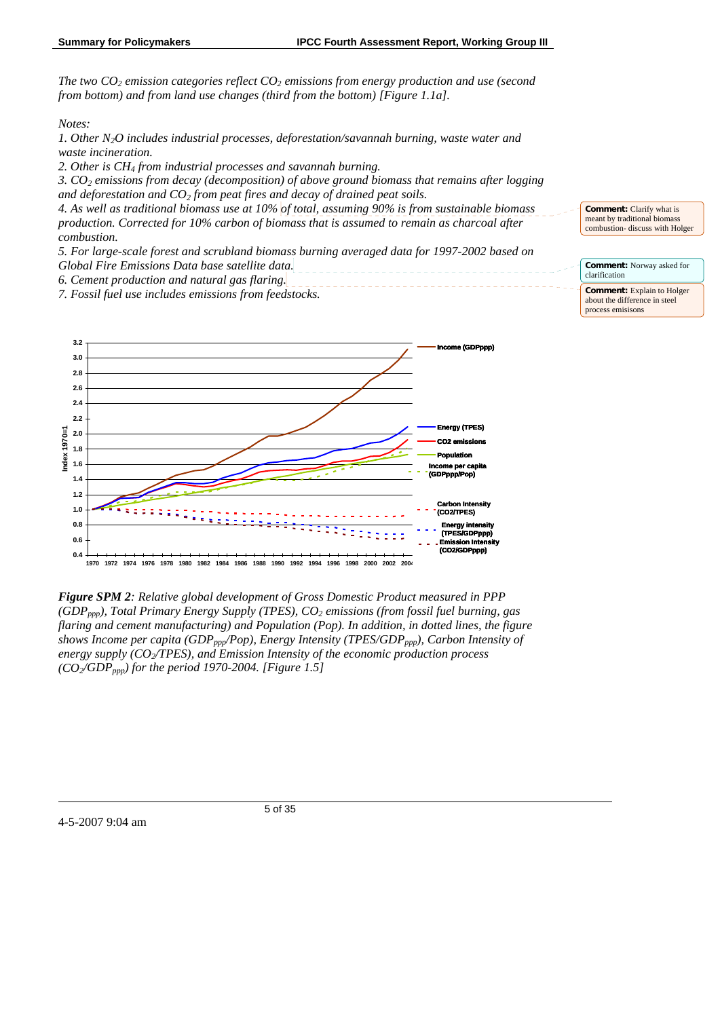*The two CO2 emission categories reflect CO2 emissions from energy production and use (second from bottom) and from land use changes (third from the bottom) [Figure 1.1a].* 

*Notes:* 

*1. Other N2O includes industrial processes, deforestation/savannah burning, waste water and waste incineration.* 

*2. Other is CH4 from industrial processes and savannah burning.* 

*3. CO2 emissions from decay (decomposition) of above ground biomass that remains after logging and deforestation and CO2 from peat fires and decay of drained peat soils.* 

*4. As well as traditional biomass use at 10% of total, assuming 90% is from sustainable biomass production. Corrected for 10% carbon of biomass that is assumed to remain as charcoal after combustion.* 

*5. For large-scale forest and scrubland biomass burning averaged data for 1997-2002 based on* 

- *Global Fire Emissions Data base satellite data.*
- *6. Cement production and natural gas flaring.*
- *7. Fossil fuel use includes emissions from feedstocks.*







*Figure SPM 2: Relative global development of Gross Domestic Product measured in PPP (GDPppp), Total Primary Energy Supply (TPES), CO2 emissions (from fossil fuel burning, gas flaring and cement manufacturing) and Population (Pop). In addition, in dotted lines, the figure*  shows Income per capita (GDP<sub>ppp</sub>/Pop), Energy Intensity (TPES/GDP<sub>ppp</sub>), Carbon Intensity of *energy supply (CO2/TPES), and Emission Intensity of the economic production process*   $(CO_2/GDP_{ppp})$  for the period 1970-2004. [Figure 1.5]

4-5-2007 9:04 am

l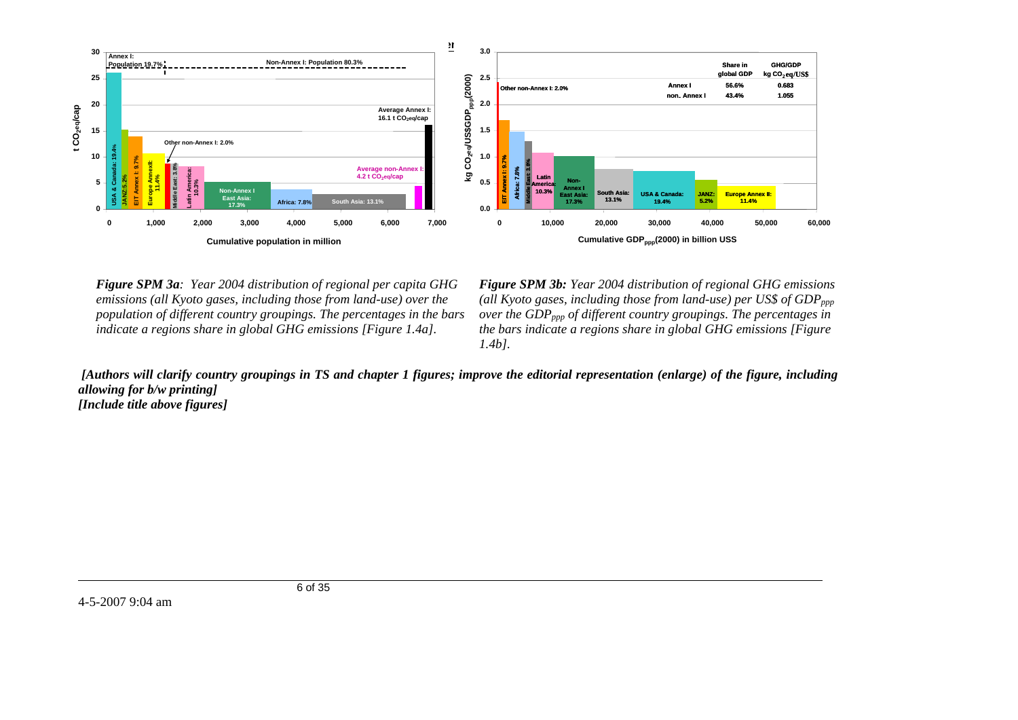

*Figure SPM 3a: Year 2004 distribution of regional per capita GHG emissions (all Kyoto gases, including those from land-use) over the population of different country groupings. The percentages in the bars indicate a regions share in global GHG emissions [Figure 1.4a].* 

*Figure SPM 3b: Year 2004 distribution of regional GHG emissions (all Kyoto gases, including those from land-use) per US\$ of GDP*<sub>ppp</sub> *over the GDP<sub>ppp</sub> of different country groupings. The percentages in the bars indicate a regions share in global GHG emissions [Figure 1.4b].* 

 *[Authors will clarify country groupings in TS and chapter 1 figures; improve the editorial representation (enlarge) of the figure, including allowing for b/w printing] [Include title above figures]*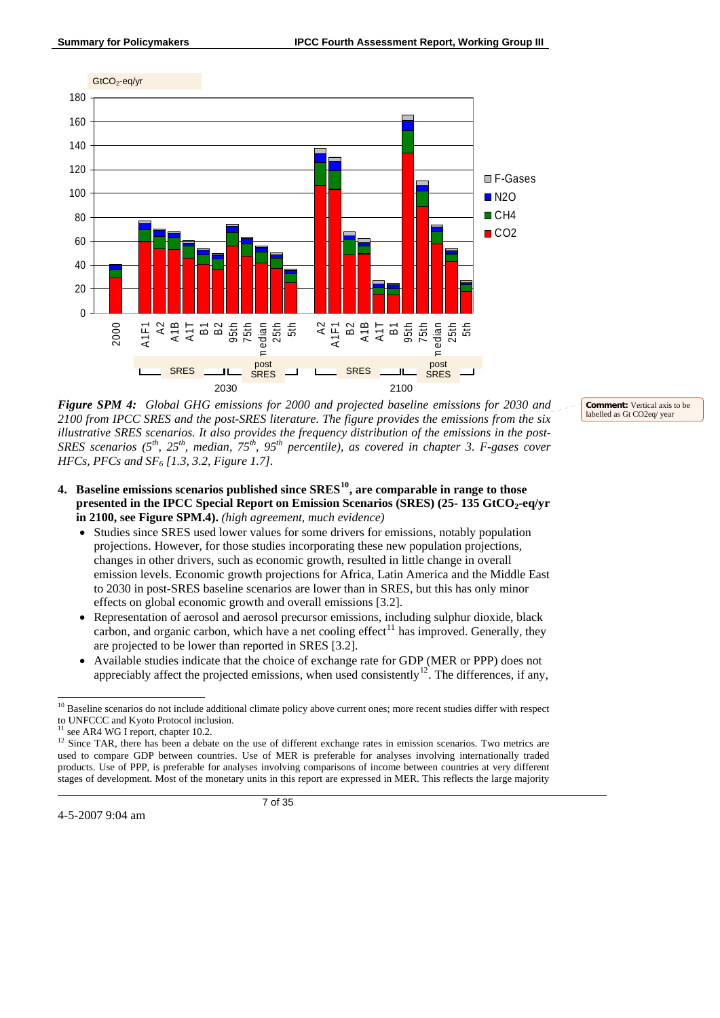<span id="page-6-0"></span>

*Figure SPM 4: Global GHG emissions for 2000 and projected baseline emissions for 2030 and 2100 from IPCC SRES and the post-SRES literature. The figure provides the emissions from the six illustrative SRES scenarios. It also provides the frequency distribution of the emissions in the post-SRES scenarios (5th, 25th, median, 75th, 95th percentile), as covered in chapter 3. F-gases cover HFCs, PFCs and SF6 [1.3, 3.2, Figure 1.7].* 

- **4. Baseline emissions scenarios published since SRES[10,](#page-6-0) are comparable in range to those presented in the IPCC Special Report on Emission Scenarios (SRES) (25- 135 GtCO2-eq/yr in 2100, see Figure SPM.4).** *(high agreement, much evidence)*
	- Studies since SRES used lower values for some drivers for emissions, notably population projections. However, for those studies incorporating these new population projections, changes in other drivers, such as economic growth, resulted in little change in overall emission levels. Economic growth projections for Africa, Latin America and the Middle East to 2030 in post-SRES baseline scenarios are lower than in SRES, but this has only minor effects on global economic growth and overall emissions [3.2].

• Representation of aerosol and aerosol precursor emissions, including sulphur dioxide, black carbon, and organic carbon, which have a net cooling effect<sup>[11](#page-6-0)</sup> has improved. Generally, they are projected to be lower than reported in SRES [3.2].

• Available studies indicate that the choice of exchange rate for GDP (MER or PPP) does not appreciably affect the projected emissions, when used consistently<sup>[12](#page-6-0)</sup>. The differences, if any,

4-5-2007 9:04 am

-

7 of 35

**Comment:** Vertical axis to be labelled as Gt CO2eq/ year

 $10$  Baseline scenarios do not include additional climate policy above current ones; more recent studies differ with respect to UNFCCC and Kyoto Protocol inclusion.

see AR4 WG I report, chapter 10.2.

 $\overline{a}$ <sup>12</sup> Since TAR, there has been a debate on the use of different exchange rates in emission scenarios. Two metrics are used to compare GDP between countries. Use of MER is preferable for analyses involving internationally traded products. Use of PPP, is preferable for analyses involving comparisons of income between countries at very different stages of development. Most of the monetary units in this report are expressed in MER. This reflects the large majority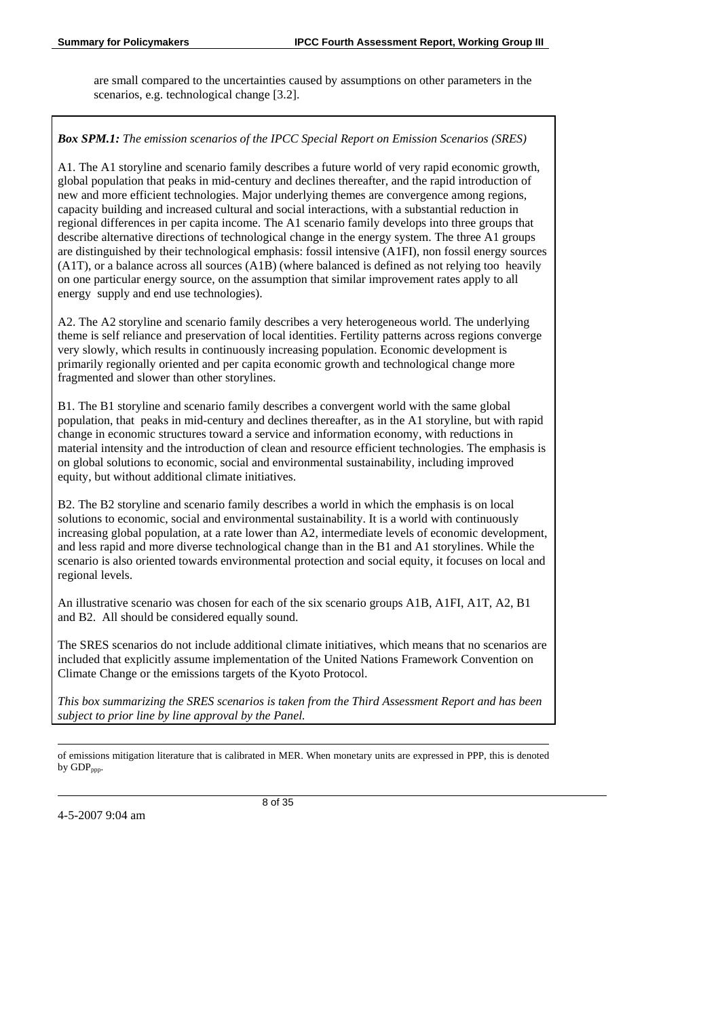are small compared to the uncertainties caused by assumptions on other parameters in the scenarios, e.g. technological change [3.2].

## *Box SPM.1: The emission scenarios of the IPCC Special Report on Emission Scenarios (SRES)*

A1. The A1 storyline and scenario family describes a future world of very rapid economic growth, global population that peaks in mid-century and declines thereafter, and the rapid introduction of new and more efficient technologies. Major underlying themes are convergence among regions, capacity building and increased cultural and social interactions, with a substantial reduction in regional differences in per capita income. The A1 scenario family develops into three groups that describe alternative directions of technological change in the energy system. The three A1 groups are distinguished by their technological emphasis: fossil intensive (A1FI), non fossil energy sources (A1T), or a balance across all sources (A1B) (where balanced is defined as not relying too heavily on one particular energy source, on the assumption that similar improvement rates apply to all energy supply and end use technologies).

A2. The A2 storyline and scenario family describes a very heterogeneous world. The underlying theme is self reliance and preservation of local identities. Fertility patterns across regions converge very slowly, which results in continuously increasing population. Economic development is primarily regionally oriented and per capita economic growth and technological change more fragmented and slower than other storylines.

B1. The B1 storyline and scenario family describes a convergent world with the same global population, that peaks in mid-century and declines thereafter, as in the A1 storyline, but with rapid change in economic structures toward a service and information economy, with reductions in material intensity and the introduction of clean and resource efficient technologies. The emphasis is on global solutions to economic, social and environmental sustainability, including improved equity, but without additional climate initiatives.

B2. The B2 storyline and scenario family describes a world in which the emphasis is on local solutions to economic, social and environmental sustainability. It is a world with continuously increasing global population, at a rate lower than A2, intermediate levels of economic development, and less rapid and more diverse technological change than in the B1 and A1 storylines. While the scenario is also oriented towards environmental protection and social equity, it focuses on local and regional levels.

An illustrative scenario was chosen for each of the six scenario groups A1B, A1FI, A1T, A2, B1 and B2. All should be considered equally sound.

The SRES scenarios do not include additional climate initiatives, which means that no scenarios are included that explicitly assume implementation of the United Nations Framework Convention on Climate Change or the emissions targets of the Kyoto Protocol.

*This box summarizing the SRES scenarios is taken from the Third Assessment Report and has been subject to prior line by line approval by the Panel.* 

of emissions mitigation literature that is calibrated in MER. When monetary units are expressed in PPP, this is denoted by  $GDP_{ppp}$ .

4-5-2007 9:04 am

 $\overline{a}$ 

l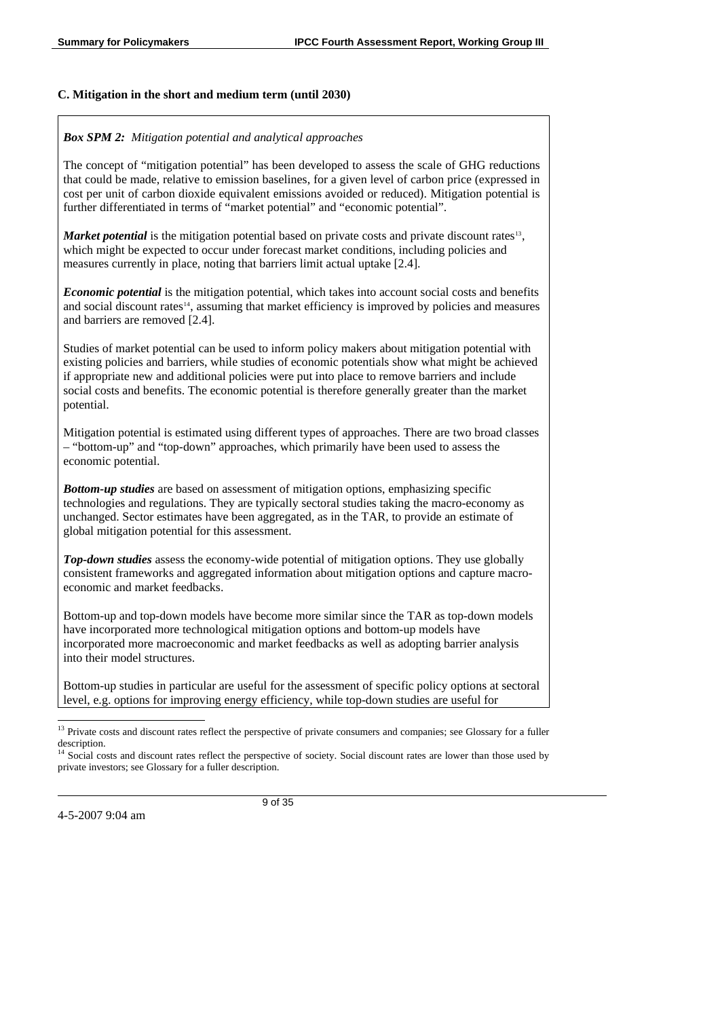# <span id="page-8-0"></span>**C. Mitigation in the short and medium term (until 2030)**

## *Box SPM 2: Mitigation potential and analytical approaches*

The concept of "mitigation potential" has been developed to assess the scale of GHG reductions that could be made, relative to emission baselines, for a given level of carbon price (expressed in cost per unit of carbon dioxide equivalent emissions avoided or reduced). Mitigation potential is further differentiated in terms of "market potential" and "economic potential".

*Market potential* is the mitigation potential based on private costs and private discount rates<sup>[13](#page-8-0)</sup>, which might be expected to occur under forecast market conditions, including policies and measures currently in place, noting that barriers limit actual uptake [2.4].

*Economic potential* is the mitigation potential, which takes into account social costs and benefits and social discount rates<sup>[14](#page-8-0)</sup>, assuming that market efficiency is improved by policies and measures and barriers are removed [2.4].

Studies of market potential can be used to inform policy makers about mitigation potential with existing policies and barriers, while studies of economic potentials show what might be achieved if appropriate new and additional policies were put into place to remove barriers and include social costs and benefits. The economic potential is therefore generally greater than the market potential.

Mitigation potential is estimated using different types of approaches. There are two broad classes – "bottom-up" and "top-down" approaches, which primarily have been used to assess the economic potential.

*Bottom-up studies* are based on assessment of mitigation options, emphasizing specific technologies and regulations. They are typically sectoral studies taking the macro-economy as unchanged. Sector estimates have been aggregated, as in the TAR, to provide an estimate of global mitigation potential for this assessment.

*Top-down studies* assess the economy-wide potential of mitigation options. They use globally consistent frameworks and aggregated information about mitigation options and capture macroeconomic and market feedbacks.

Bottom-up and top-down models have become more similar since the TAR as top-down models have incorporated more technological mitigation options and bottom-up models have incorporated more macroeconomic and market feedbacks as well as adopting barrier analysis into their model structures.

Bottom-up studies in particular are useful for the assessment of specific policy options at sectoral level, e.g. options for improving energy efficiency, while top-down studies are useful for

4-5-2007 9:04 am

 $\overline{a}$ 

-

 $13$  Private costs and discount rates reflect the perspective of private consumers and companies; see Glossary for a fuller description.

<sup>&</sup>lt;sup>14</sup> Social costs and discount rates reflect the perspective of society. Social discount rates are lower than those used by private investors; see Glossary for a fuller description.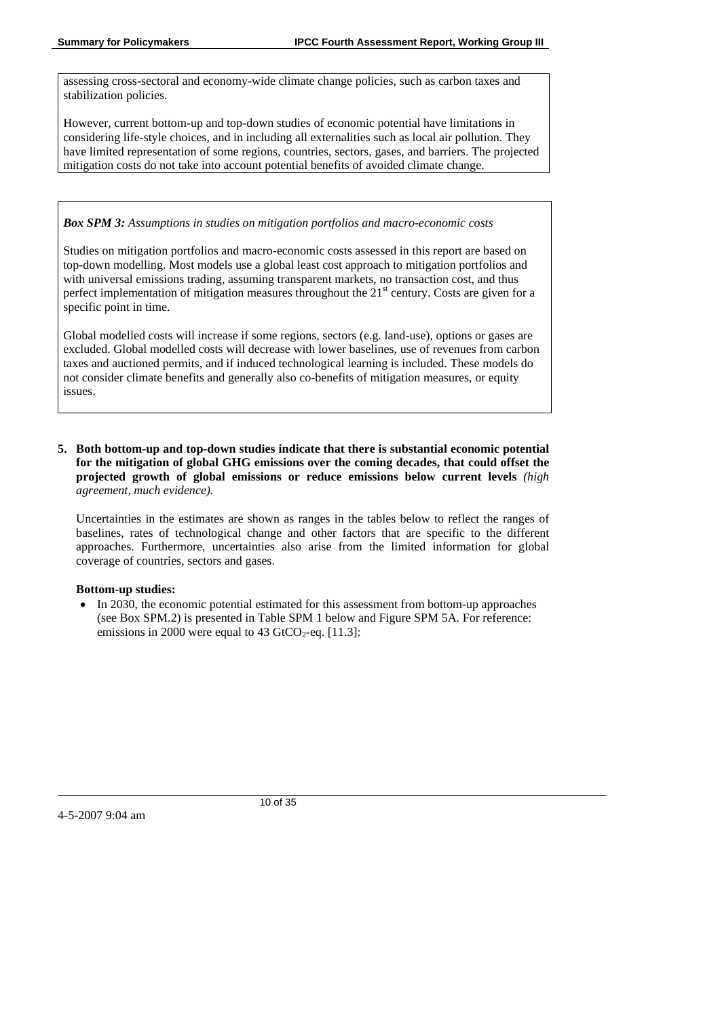assessing cross-sectoral and economy-wide climate change policies, such as carbon taxes and stabilization policies.

However, current bottom-up and top-down studies of economic potential have limitations in considering life-style choices, and in including all externalities such as local air pollution. They have limited representation of some regions, countries, sectors, gases, and barriers. The projected mitigation costs do not take into account potential benefits of avoided climate change.

*Box SPM 3: Assumptions in studies on mitigation portfolios and macro-economic costs* 

Studies on mitigation portfolios and macro-economic costs assessed in this report are based on top-down modelling. Most models use a global least cost approach to mitigation portfolios and with universal emissions trading, assuming transparent markets, no transaction cost, and thus perfect implementation of mitigation measures throughout the  $21<sup>st</sup>$  century. Costs are given for a specific point in time.

Global modelled costs will increase if some regions, sectors (e.g. land-use), options or gases are excluded. Global modelled costs will decrease with lower baselines, use of revenues from carbon taxes and auctioned permits, and if induced technological learning is included. These models do not consider climate benefits and generally also co-benefits of mitigation measures, or equity issues.

**5. Both bottom-up and top-down studies indicate that there is substantial economic potential for the mitigation of global GHG emissions over the coming decades, that could offset the projected growth of global emissions or reduce emissions below current levels** *(high agreement, much evidence).* 

Uncertainties in the estimates are shown as ranges in the tables below to reflect the ranges of baselines, rates of technological change and other factors that are specific to the different approaches. Furthermore, uncertainties also arise from the limited information for global coverage of countries, sectors and gases.

#### **Bottom-up studies:**

• In 2030, the economic potential estimated for this assessment from bottom-up approaches (see Box SPM.2) is presented in Table SPM 1 below and Figure SPM 5A. For reference: emissions in 2000 were equal to  $43$  GtCO<sub>2</sub>-eq. [11.3]:

4-5-2007 9:04 am

 $\overline{a}$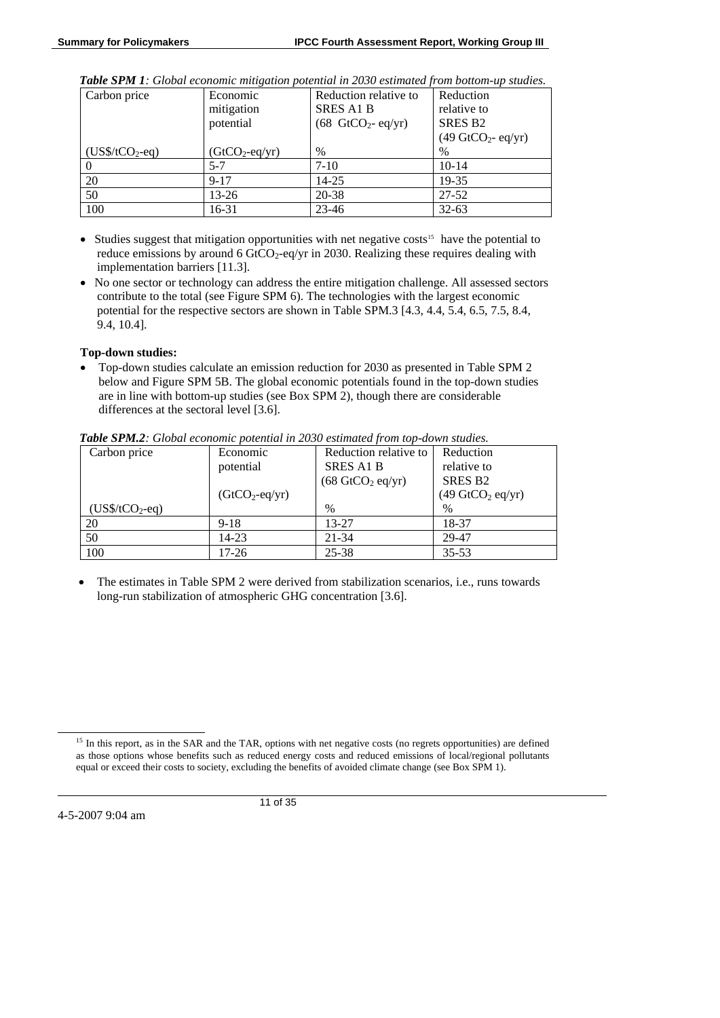| Carbon price    | Economic        | Reduction relative to               | Reduction                            |
|-----------------|-----------------|-------------------------------------|--------------------------------------|
|                 | mitigation      | <b>SRES A1 B</b>                    | relative to                          |
|                 | potential       | $(68 \text{ GtCO}_2\text{- eq/yr})$ | <b>SRES B2</b>                       |
|                 |                 |                                     | $(49 \text{ GtCO}_2 \text{- eq/yr})$ |
| $(US$/tCO2-eq)$ | $(GtCO2-eq/yr)$ | $\%$                                | $\%$                                 |
|                 | $5 - 7$         | $7-10$                              | $10-14$                              |
| 20              | $9 - 17$        | $14 - 25$                           | 19-35                                |
| 50              | $13 - 26$       | 20-38                               | $27 - 52$                            |
| 100             | 16-31           | 23-46                               | $32 - 63$                            |

<span id="page-10-0"></span>*Table SPM 1: Global economic mitigation potential in 2030 estimated from bottom-up studies.* 

- Studies suggest that mitigation opportunities with net negative costs<sup>[15](#page-10-0)</sup> have the potential to reduce emissions by around  $6 \text{ GtCO}_2$ -eq/yr in 2030. Realizing these requires dealing with implementation barriers [11.3].
- No one sector or technology can address the entire mitigation challenge. All assessed sectors contribute to the total (see Figure SPM 6). The technologies with the largest economic potential for the respective sectors are shown in Table SPM.3 [4.3, 4.4, 5.4, 6.5, 7.5, 8.4, 9.4, 10.4].

# **Top-down studies:**

• Top-down studies calculate an emission reduction for 2030 as presented in Table SPM 2 below and Figure SPM 5B. The global economic potentials found in the top-down studies are in line with bottom-up studies (see Box SPM 2), though there are considerable differences at the sectoral level [3.6].

| Carbon price    | Economic        | Reduction relative to               | Reduction                           |
|-----------------|-----------------|-------------------------------------|-------------------------------------|
|                 | potential       | <b>SRES A1 B</b>                    | relative to                         |
|                 |                 | $(68 \text{ GtCO}_2 \text{ eq/yr})$ | <b>SRES B2</b>                      |
|                 | $(GtCO2-eq/yr)$ |                                     | $(49 \text{ GtCO}_2 \text{ eq/yr})$ |
| $(US$/tCO2-eq)$ |                 | $\%$                                | $\%$                                |
| 20              | $9 - 18$        | $13 - 27$                           | 18-37                               |
| 50              | 14-23           | $21 - 34$                           | 29-47                               |
| 100             | 17-26           | $25 - 38$                           | $35 - 53$                           |

*Table SPM.2: Global economic potential in 2030 estimated from top-down studies.* 

• The estimates in Table SPM 2 were derived from stabilization scenarios, i.e., runs towards long-run stabilization of atmospheric GHG concentration [3.6].

4-5-2007 9:04 am

 $\overline{a}$ 

<sup>&</sup>lt;sup>15</sup> In this report, as in the SAR and the TAR, options with net negative costs (no regrets opportunities) are defined as those options whose benefits such as reduced energy costs and reduced emissions of local/regional pollutants equal or exceed their costs to society, excluding the benefits of avoided climate change (see Box SPM 1).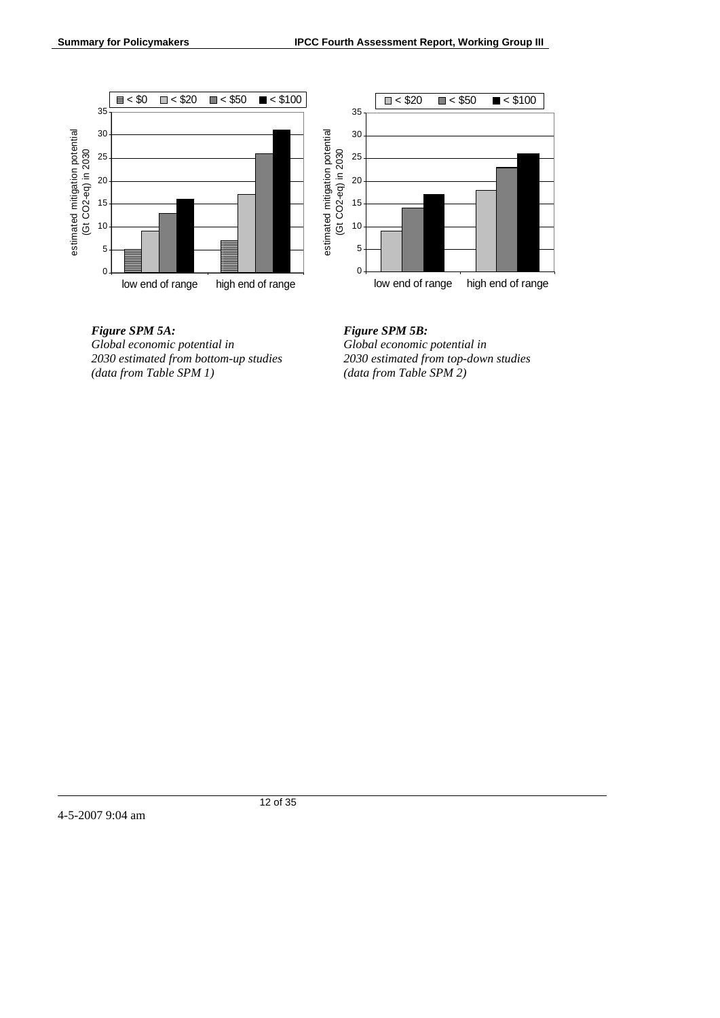



# *Figure SPM 5A: Global economic potential in 2030 estimated from bottom-up studies (data from Table SPM 1)*

# *Figure SPM 5B:*

*Global economic potential in 2030 estimated from top-down studies (data from Table SPM 2)* 

4-5-2007 9:04 am

 $\overline{a}$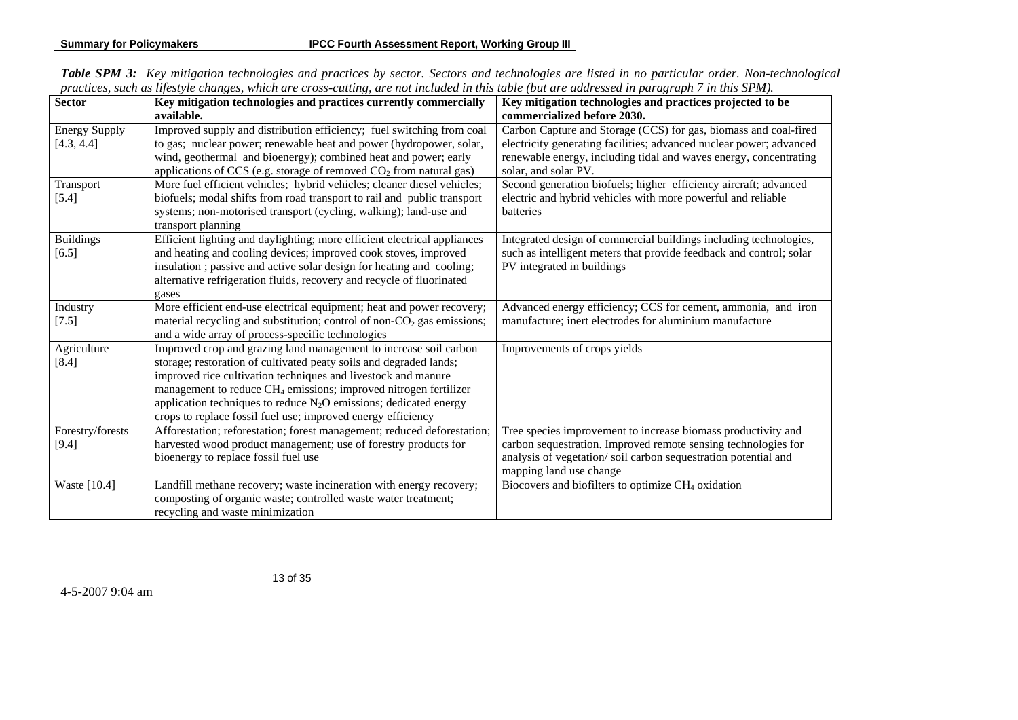| <b>Sector</b>        | Key mitigation technologies and practices currently commercially             | Key mitigation technologies and practices projected to be           |
|----------------------|------------------------------------------------------------------------------|---------------------------------------------------------------------|
|                      | available.                                                                   | commercialized before 2030.                                         |
| <b>Energy Supply</b> | Improved supply and distribution efficiency; fuel switching from coal        | Carbon Capture and Storage (CCS) for gas, biomass and coal-fired    |
| [4.3, 4.4]           | to gas; nuclear power; renewable heat and power (hydropower, solar,          | electricity generating facilities; advanced nuclear power; advanced |
|                      | wind, geothermal and bioenergy); combined heat and power; early              | renewable energy, including tidal and waves energy, concentrating   |
|                      | applications of CCS (e.g. storage of removed $CO2$ from natural gas)         | solar, and solar PV.                                                |
| Transport            | More fuel efficient vehicles; hybrid vehicles; cleaner diesel vehicles;      | Second generation biofuels; higher efficiency aircraft; advanced    |
| [5.4]                | biofuels; modal shifts from road transport to rail and public transport      | electric and hybrid vehicles with more powerful and reliable        |
|                      | systems; non-motorised transport (cycling, walking); land-use and            | batteries                                                           |
|                      | transport planning                                                           |                                                                     |
| <b>Buildings</b>     | Efficient lighting and daylighting; more efficient electrical appliances     | Integrated design of commercial buildings including technologies,   |
| [6.5]                | and heating and cooling devices; improved cook stoves, improved              | such as intelligent meters that provide feedback and control; solar |
|                      | insulation; passive and active solar design for heating and cooling;         | PV integrated in buildings                                          |
|                      | alternative refrigeration fluids, recovery and recycle of fluorinated        |                                                                     |
|                      | gases                                                                        |                                                                     |
| Industry             | More efficient end-use electrical equipment; heat and power recovery;        | Advanced energy efficiency; CCS for cement, ammonia, and iron       |
| [7.5]                | material recycling and substitution; control of non- $CO2$ gas emissions;    | manufacture; inert electrodes for aluminium manufacture             |
|                      | and a wide array of process-specific technologies                            |                                                                     |
| Agriculture          | Improved crop and grazing land management to increase soil carbon            | Improvements of crops yields                                        |
| [8.4]                | storage; restoration of cultivated peaty soils and degraded lands;           |                                                                     |
|                      | improved rice cultivation techniques and livestock and manure                |                                                                     |
|                      | management to reduce CH <sub>4</sub> emissions; improved nitrogen fertilizer |                                                                     |
|                      | application techniques to reduce $N_2O$ emissions; dedicated energy          |                                                                     |
|                      | crops to replace fossil fuel use; improved energy efficiency                 |                                                                     |
| Forestry/forests     | Afforestation; reforestation; forest management; reduced deforestation;      | Tree species improvement to increase biomass productivity and       |
| [9.4]                | harvested wood product management; use of forestry products for              | carbon sequestration. Improved remote sensing technologies for      |
|                      | bioenergy to replace fossil fuel use                                         | analysis of vegetation/soil carbon sequestration potential and      |
|                      |                                                                              | mapping land use change                                             |
| Waste [10.4]         | Landfill methane recovery; waste incineration with energy recovery;          | Biocovers and biofilters to optimize CH <sub>4</sub> oxidation      |
|                      | composting of organic waste; controlled waste water treatment;               |                                                                     |
|                      | recycling and waste minimization                                             |                                                                     |

*Table SPM 3: Key mitigation technologies and practices by sector. Sectors and technologies are listed in no particular order. Non-technological practices, such as lifestyle changes, which are cross-cutting, are not included in this table (but are addressed in paragraph 7 in this SPM).* 

13 of 35

4-5-2007 9:04 am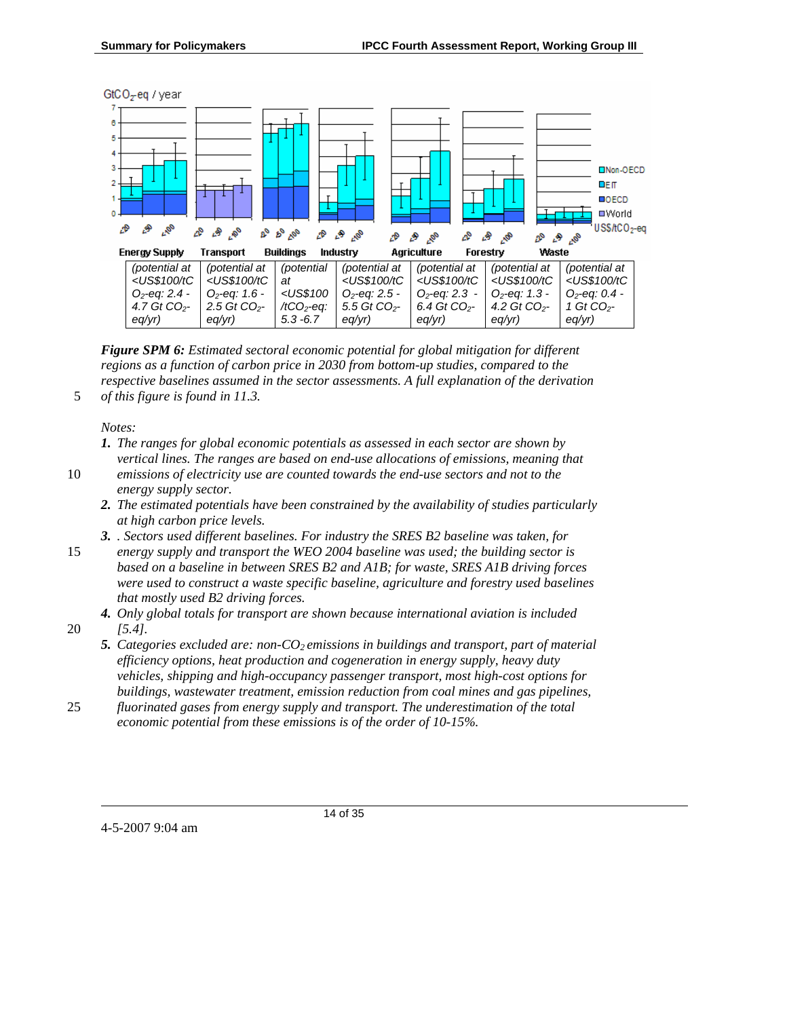

*Figure SPM 6: Estimated sectoral economic potential for global mitigation for different regions as a function of carbon price in 2030 from bottom-up studies, compared to the respective baselines assumed in the sector assessments. A full explanation of the derivation* 

5 *of this figure is found in 11.3.* 

*Notes:* 

- *1. The ranges for global economic potentials as assessed in each sector are shown by vertical lines. The ranges are based on end-use allocations of emissions, meaning that*
- 10 *emissions of electricity use are counted towards the end-use sectors and not to the energy supply sector.* 
	- *2. The estimated potentials have been constrained by the availability of studies particularly at high carbon price levels.*
	- *3. . Sectors used different baselines. For industry the SRES B2 baseline was taken, for*
- 15 *energy supply and transport the WEO 2004 baseline was used; the building sector is based on a baseline in between SRES B2 and A1B; for waste, SRES A1B driving forces were used to construct a waste specific baseline, agriculture and forestry used baselines that mostly used B2 driving forces.*
- 20 *4. Only global totals for transport are shown because international aviation is included [5.4].* 
	- **5.** *Categories excluded are: non-CO<sub>2</sub> emissions in buildings and transport, part of material efficiency options, heat production and cogeneration in energy supply, heavy duty vehicles, shipping and high-occupancy passenger transport, most high-cost options for buildings, wastewater treatment, emission reduction from coal mines and gas pipelines,*
- 25 *fluorinated gases from energy supply and transport. The underestimation of the total economic potential from these emissions is of the order of 10-15%.*

 $\overline{a}$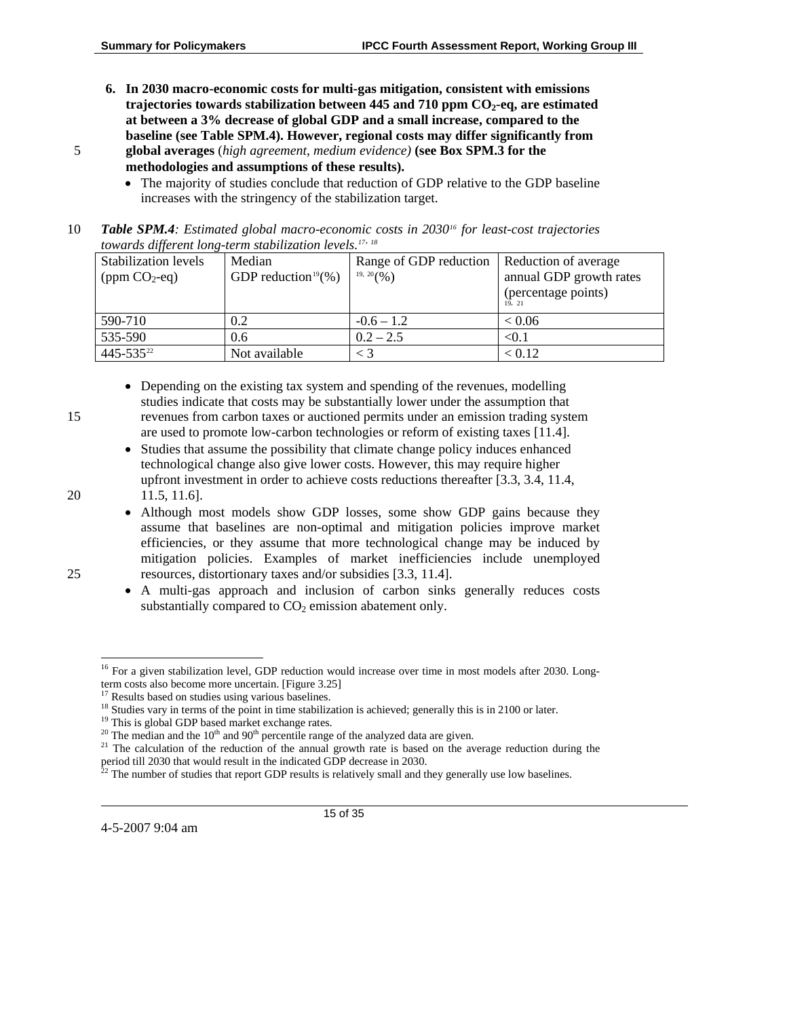<span id="page-14-0"></span>**6. In 2030 macro-economic costs for multi-gas mitigation, consistent with emissions trajectories towards stabilization between 445 and 710 ppm CO2-eq, are estimated at between a 3% decrease of global GDP and a small increase, compared to the baseline (see Table SPM.4). However, regional costs may differ significantly from** 

5 **global averages** (*high agreement, medium evidence)* **(see Box SPM.3 for the methodologies and assumptions of these results).** 

• The majority of studies conclude that reduction of GDP relative to the GDP baseline increases with the stringency of the stabilization target.

<span id="page-14-1"></span>10 *Table SPM.4: Estimated global macro-economic costs in 2030[16](#page-14-0) for least-cost trajectories towards different long-term stabilization levels.[17](#page-14-0), [18](#page-14-0)* 

| Stabilization levels<br>$(ppm CO2-eq)$ | Median<br>GDP reduction <sup>19</sup> $(\%)$ | Range of GDP reduction<br>19, 20(96) | Reduction of average<br>annual GDP growth rates<br>(percentage points)<br>19.21 |
|----------------------------------------|----------------------------------------------|--------------------------------------|---------------------------------------------------------------------------------|
| 590-710                                | 0.2                                          | $-0.6 - 1.2$                         | ${}_{< 0.06}$                                                                   |
| 535-590                                | 0.6                                          | $0.2 - 2.5$                          | < 0.1                                                                           |
| 445-535 <sup>22</sup>                  | Not available                                |                                      | < 0.12                                                                          |

• Depending on the existing tax system and spending of the revenues, modelling studies indicate that costs may be substantially lower under the assumption that revenues from carbon taxes or auctioned permits under an emission trading system are used to promote low-carbon technologies or reform of existing taxes [11.4].

• Studies that assume the possibility that climate change policy induces enhanced technological change also give lower costs. However, this may require higher upfront investment in order to achieve costs reductions thereafter [3.3, 3.4, 11.4, 11.5, 11.6].

• Although most models show GDP losses, some show GDP gains because they assume that baselines are non-optimal and mitigation policies improve market efficiencies, or they assume that more technological change may be induced by mitigation policies. Examples of market inefficiencies include unemployed resources, distortionary taxes and/or subsidies [3.3, 11.4].

25

15

20

• A multi-gas approach and inclusion of carbon sinks generally reduces costs substantially compared to  $CO<sub>2</sub>$  emission abatement only.

 $\overline{a}$ 

<u>.</u>

<sup>&</sup>lt;sup>16</sup> For a given stabilization level, GDP reduction would increase over time in most models after 2030. Longterm costs also become more uncertain. [Figure 3.25]

<sup>&</sup>lt;sup>17</sup> Results based on studies using various baselines.

<sup>&</sup>lt;sup>18</sup> Studies vary in terms of the point in time stabilization is achieved; generally this is in 2100 or later.

<sup>&</sup>lt;sup>19</sup> This is global GDP based market exchange rates.<br><sup>20</sup> The median and the 10<sup>th</sup> and 90<sup>th</sup> percentile range of the analyzed data are given.

<sup>&</sup>lt;sup>21</sup> The calculation of the reduction of the annual growth rate is based on the average reduction during the period till 2030 that would result in the indicated GDP decrease in 2030.

The number of studies that report GDP results is relatively small and they generally use low baselines.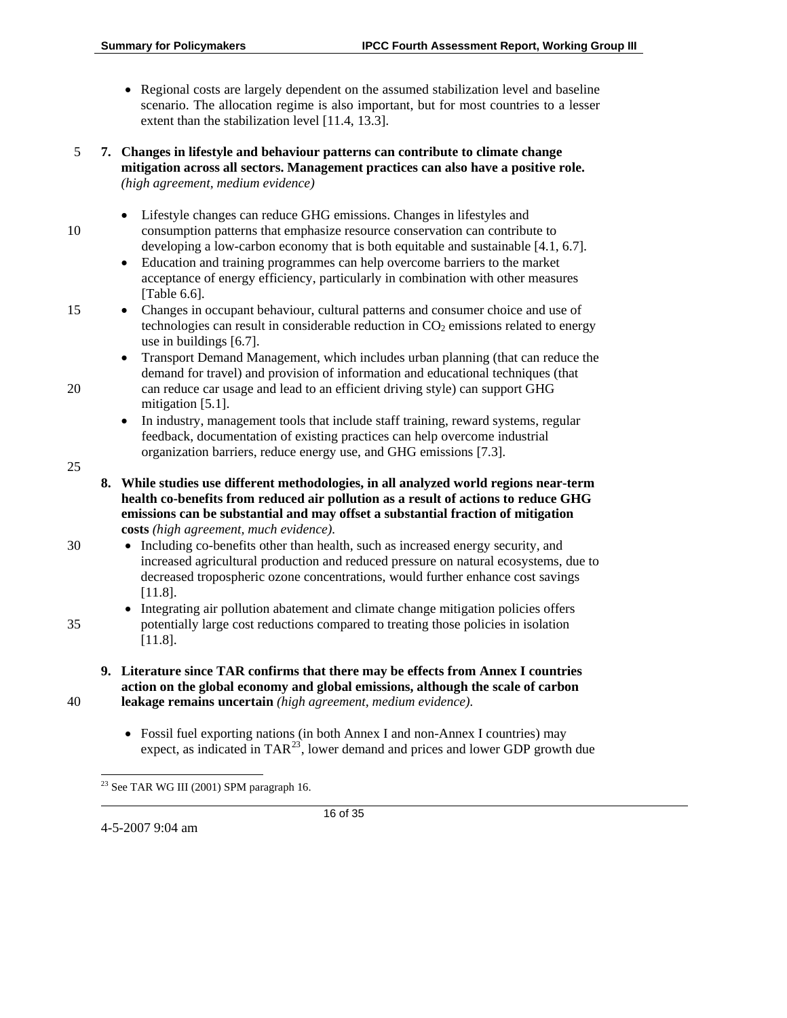<span id="page-15-0"></span>• Regional costs are largely dependent on the assumed stabilization level and baseline scenario. The allocation regime is also important, but for most countries to a lesser extent than the stabilization level [11.4, 13.3].

5 **7. Changes in lifestyle and behaviour patterns can contribute to climate change mitigation across all sectors. Management practices can also have a positive role.**  *(high agreement, medium evidence)* 

- Lifestyle changes can reduce GHG emissions. Changes in lifestyles and consumption patterns that emphasize resource conservation can contribute to developing a low-carbon economy that is both equitable and sustainable [4.1, 6.7].
	- Education and training programmes can help overcome barriers to the market acceptance of energy efficiency, particularly in combination with other measures [Table 6.6].
- 15 • Changes in occupant behaviour, cultural patterns and consumer choice and use of technologies can result in considerable reduction in  $CO<sub>2</sub>$  emissions related to energy use in buildings [6.7].
	- Transport Demand Management, which includes urban planning (that can reduce the demand for travel) and provision of information and educational techniques (that can reduce car usage and lead to an efficient driving style) can support GHG mitigation [5.1].
	- In industry, management tools that include staff training, reward systems, regular feedback, documentation of existing practices can help overcome industrial organization barriers, reduce energy use, and GHG emissions [7.3].

# 25

35

40

20

10

- **8. While studies use different methodologies, in all analyzed world regions near-term health co-benefits from reduced air pollution as a result of actions to reduce GHG emissions can be substantial and may offset a substantial fraction of mitigation costs** *(high agreement, much evidence).*
- 30 • Including co-benefits other than health, such as increased energy security, and increased agricultural production and reduced pressure on natural ecosystems, due to decreased tropospheric ozone concentrations, would further enhance cost savings [11.8].
	- Integrating air pollution abatement and climate change mitigation policies offers potentially large cost reductions compared to treating those policies in isolation [11.8].
	- **9. Literature since TAR confirms that there may be effects from Annex I countries action on the global economy and global emissions, although the scale of carbon leakage remains uncertain** *(high agreement, medium evidence).*
		- Fossil fuel exporting nations (in both Annex I and non-Annex I countries) may expect, as indicated in  $TAR^{23}$  $TAR^{23}$  $TAR^{23}$ , lower demand and prices and lower GDP growth due

16 of 35

4-5-2007 9:04 am

 $\overline{a}$ 

<sup>-</sup><sup>23</sup> See TAR WG III (2001) SPM paragraph 16.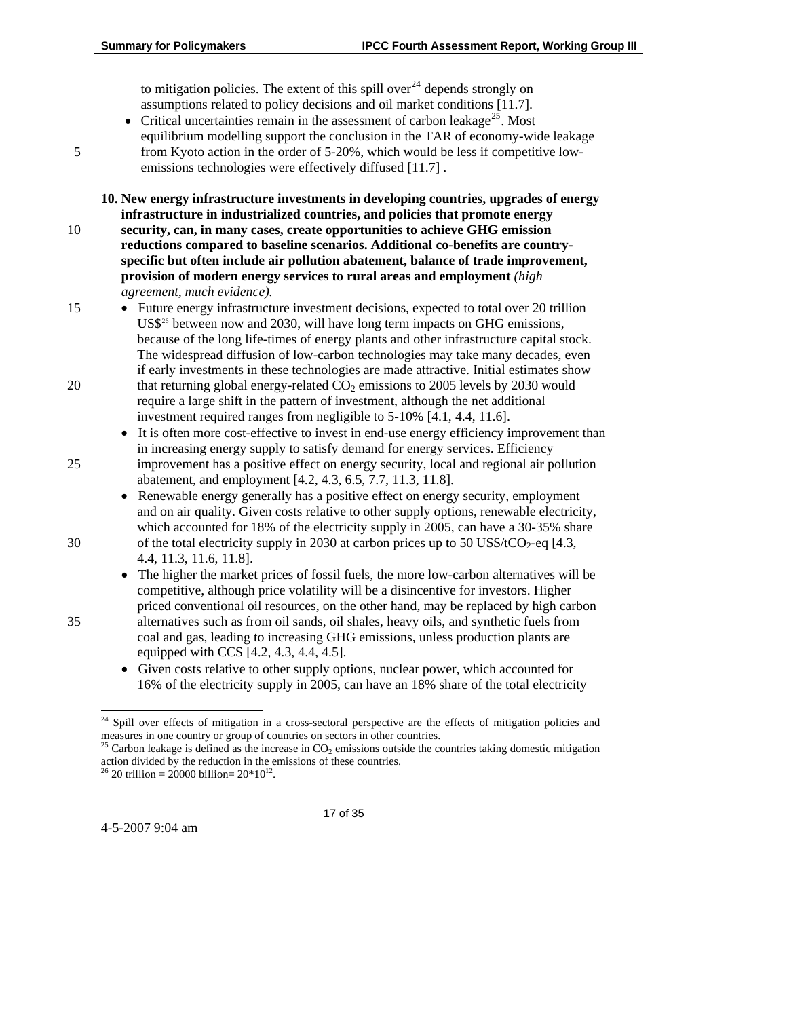to mitigation policies. The extent of this spill over $^{24}$  $^{24}$  $^{24}$  depends strongly on assumptions related to policy decisions and oil market conditions [11.7].

- <span id="page-16-0"></span>• Critical uncertainties remain in the assessment of carbon leakage<sup>[25](#page-16-0)</sup>. Most equilibrium modelling support the conclusion in the TAR of economy-wide leakage from Kyoto action in the order of 5-20%, which would be less if competitive low
	- emissions technologies were effectively diffused [11.7] .
- **10. New energy infrastructure investments in developing countries, upgrades of energy infrastructure in industrialized countries, and policies that promote energy**
- 10 **security, can, in many cases, create opportunities to achieve GHG emission reductions compared to baseline scenarios. Additional co-benefits are countryspecific but often include air pollution abatement, balance of trade improvement, provision of modern energy services to rural areas and employment** *(high agreement, much evidence).*
- 15 20 • Future energy infrastructure investment decisions, expected to total over 20 trillion US\$[26](#page-16-0) between now and 2030, will have long term impacts on GHG emissions, because of the long life-times of energy plants and other infrastructure capital stock. The widespread diffusion of low-carbon technologies may take many decades, even if early investments in these technologies are made attractive. Initial estimates show that returning global energy-related  $CO<sub>2</sub>$  emissions to 2005 levels by 2030 would require a large shift in the pattern of investment, although the net additional
	- investment required ranges from negligible to 5-10% [4.1, 4.4, 11.6].
		- It is often more cost-effective to invest in end-use energy efficiency improvement than in increasing energy supply to satisfy demand for energy services. Efficiency improvement has a positive effect on energy security, local and regional air pollution abatement, and employment [4.2, 4.3, 6.5, 7.7, 11.3, 11.8].
		- Renewable energy generally has a positive effect on energy security, employment and on air quality. Given costs relative to other supply options, renewable electricity, which accounted for 18% of the electricity supply in 2005, can have a 30-35% share of the total electricity supply in 2030 at carbon prices up to 50 US\$/tCO<sub>2</sub>-eq [4.3,
			- 4.4, 11.3, 11.6, 11.8].
		- The higher the market prices of fossil fuels, the more low-carbon alternatives will be competitive, although price volatility will be a disincentive for investors. Higher priced conventional oil resources, on the other hand, may be replaced by high carbon
	- alternatives such as from oil sands, oil shales, heavy oils, and synthetic fuels from coal and gas, leading to increasing GHG emissions, unless production plants are equipped with CCS [4.2, 4.3, 4.4, 4.5].
		- Given costs relative to other supply options, nuclear power, which accounted for 16% of the electricity supply in 2005, can have an 18% share of the total electricity

 $\overline{a}$ 

-



25

30

<sup>24</sup> Spill over effects of mitigation in a cross-sectoral perspective are the effects of mitigation policies and measures in one country or group of countries on sectors in other countries.

<sup>&</sup>lt;sup>25</sup> Carbon leakage is defined as the increase in  $CO<sub>2</sub>$  emissions outside the countries taking domestic mitigation action divided by the reduction in the emissions of these countries.

<sup>&</sup>lt;sup>26</sup> 20 trillion = 20000 billion =  $20*10^{12}$ .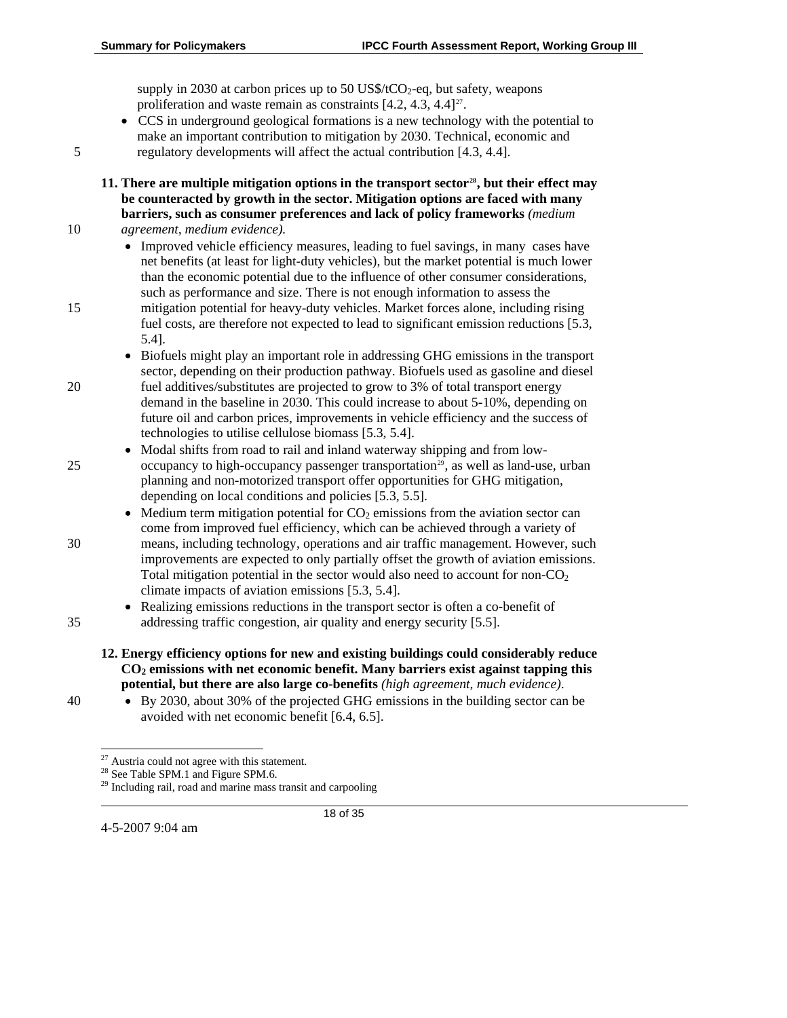<span id="page-17-0"></span>supply in 2030 at carbon prices up to 50  $\text{US\%/tCO}_2$ -eq, but safety, weapons proliferation and waste remain as constraints  $[4.2, 4.3, 4.4]^{27}$  $[4.2, 4.3, 4.4]^{27}$  $[4.2, 4.3, 4.4]^{27}$ .

- CCS in underground geological formations is a new technology with the potential to make an important contribution to mitigation by 2030. Technical, economic and regulatory developments will affect the actual contribution [4.3, 4.4].
- 5

**11. There are multiple mitigation options in the transport secto[r28](#page-17-0), but their effect may be counteracted by growth in the sector. Mitigation options are faced with many barriers, such as consumer preferences and lack of policy frameworks** *(medium* 

10 *agreement, medium evidence).*

> • Improved vehicle efficiency measures, leading to fuel savings, in many cases have net benefits (at least for light-duty vehicles), but the market potential is much lower than the economic potential due to the influence of other consumer considerations, such as performance and size. There is not enough information to assess the

- 15 mitigation potential for heavy-duty vehicles. Market forces alone, including rising fuel costs, are therefore not expected to lead to significant emission reductions [5.3, 5.4].
	- Biofuels might play an important role in addressing GHG emissions in the transport sector, depending on their production pathway. Biofuels used as gasoline and diesel
	- fuel additives/substitutes are projected to grow to 3% of total transport energy demand in the baseline in 2030. This could increase to about 5-10%, depending on future oil and carbon prices, improvements in vehicle efficiency and the success of technologies to utilise cellulose biomass [5.3, 5.4].
		- Modal shifts from road to rail and inland waterway shipping and from lowoccupancy to high-occupancy passenger transportation<sup>29</sup>, as well as land-use, urban planning and non-motorized transport offer opportunities for GHG mitigation, depending on local conditions and policies [5.3, 5.5].
		- Medium term mitigation potential for  $CO<sub>2</sub>$  emissions from the aviation sector can come from improved fuel efficiency, which can be achieved through a variety of means, including technology, operations and air traffic management. However, such improvements are expected to only partially offset the growth of aviation emissions. Total mitigation potential in the sector would also need to account for non- $CO<sub>2</sub>$ climate impacts of aviation emissions [5.3, 5.4].
		- Realizing emissions reductions in the transport sector is often a co-benefit of addressing traffic congestion, air quality and energy security [5.5].
		- **12. Energy efficiency options for new and existing buildings could considerably reduce CO2 emissions with net economic benefit. Many barriers exist against tapping this potential, but there are also large co-benefits** *(high agreement, much evidence)*.
	- By 2030, about 30% of the projected GHG emissions in the building sector can be avoided with net economic benefit [6.4, 6.5].

 $\overline{a}$ 

<u>.</u>

18 of 35

25

20

- 30
- 35

 $27$  Austria could not agree with this statement.

<sup>&</sup>lt;sup>28</sup> See Table SPM.1 and Figure SPM.6.

 $29$  Including rail, road and marine mass transit and carpooling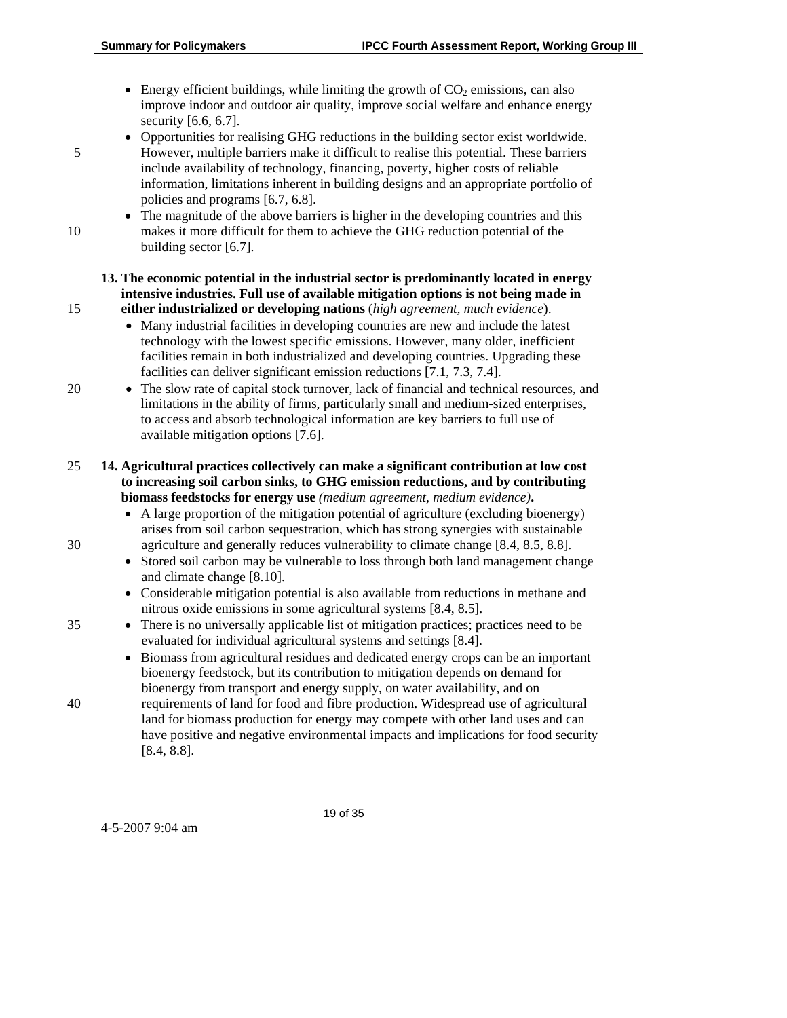- Energy efficient buildings, while limiting the growth of  $CO<sub>2</sub>$  emissions, can also improve indoor and outdoor air quality, improve social welfare and enhance energy security [6.6, 6.7].
- Opportunities for realising GHG reductions in the building sector exist worldwide. However, multiple barriers make it difficult to realise this potential. These barriers include availability of technology, financing, poverty, higher costs of reliable information, limitations inherent in building designs and an appropriate portfolio of policies and programs [6.7, 6.8].
- The magnitude of the above barriers is higher in the developing countries and this makes it more difficult for them to achieve the GHG reduction potential of the building sector [6.7].

# **13. The economic potential in the industrial sector is predominantly located in energy intensive industries. Full use of available mitigation options is not being made in**

**either industrialized or developing nations** (*high agreement, much evidence*).

- Many industrial facilities in developing countries are new and include the latest technology with the lowest specific emissions. However, many older, inefficient facilities remain in both industrialized and developing countries. Upgrading these facilities can deliver significant emission reductions [7.1, 7.3, 7.4].
- 20 • The slow rate of capital stock turnover, lack of financial and technical resources, and limitations in the ability of firms, particularly small and medium-sized enterprises, to access and absorb technological information are key barriers to full use of available mitigation options [7.6].
- 25 **14. Agricultural practices collectively can make a significant contribution at low cost to increasing soil carbon sinks, to GHG emission reductions, and by contributing biomass feedstocks for energy use** *(medium agreement, medium evidence)***.** 
	- A large proportion of the mitigation potential of agriculture (excluding bioenergy) arises from soil carbon sequestration, which has strong synergies with sustainable agriculture and generally reduces vulnerability to climate change [8.4, 8.5, 8.8].
	- Stored soil carbon may be vulnerable to loss through both land management change and climate change [8.10].
	- Considerable mitigation potential is also available from reductions in methane and nitrous oxide emissions in some agricultural systems [8.4, 8.5].
	- There is no universally applicable list of mitigation practices; practices need to be evaluated for individual agricultural systems and settings [8.4].
		- Biomass from agricultural residues and dedicated energy crops can be an important bioenergy feedstock, but its contribution to mitigation depends on demand for bioenergy from transport and energy supply, on water availability, and on
- 40 requirements of land for food and fibre production. Widespread use of agricultural land for biomass production for energy may compete with other land uses and can have positive and negative environmental impacts and implications for food security [8.4, 8.8].

 $\overline{a}$ 

19 of 35

15

10

5

35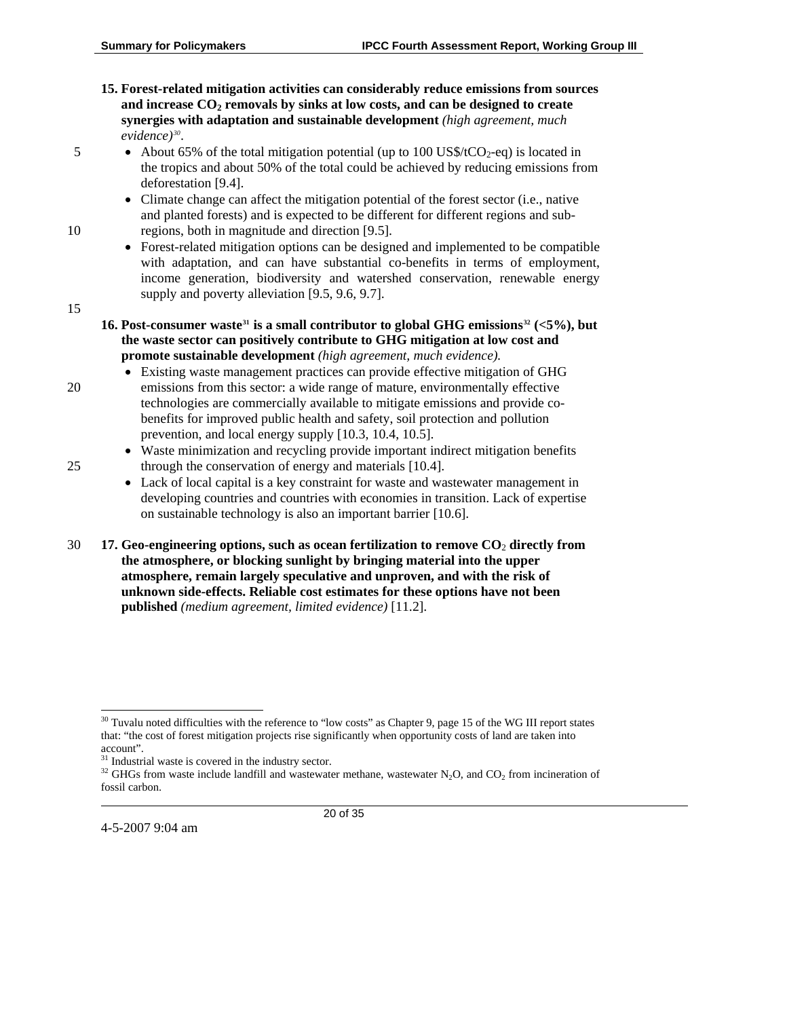- <span id="page-19-0"></span>**15. Forest-related mitigation activities can considerably reduce emissions from sources**  and increase CO<sub>2</sub> removals by sinks at low costs, and can be designed to create **synergies with adaptation and sustainable development** *(high agreement, much evidence)[30](#page-19-0).*
	- About 65% of the total mitigation potential (up to  $100 \text{ US}$ \$/tCO<sub>2</sub>-eq) is located in the tropics and about 50% of the total could be achieved by reducing emissions from deforestation [9.4].
	- Climate change can affect the mitigation potential of the forest sector (i.e., native and planted forests) and is expected to be different for different regions and subregions, both in magnitude and direction [9.5].
	- Forest-related mitigation options can be designed and implemented to be compatible with adaptation, and can have substantial co-benefits in terms of employment, income generation, biodiversity and watershed conservation, renewable energy supply and poverty alleviation [9.5, 9.6, 9.7].
- 15 **16. Post-consumer waste[31](#page-19-0) is a small contributor to global GHG emissions[32](#page-19-0) (<5%), but the waste sector can positively contribute to GHG mitigation at low cost and promote sustainable development** *(high agreement, much evidence).*
	- Existing waste management practices can provide effective mitigation of GHG emissions from this sector: a wide range of mature, environmentally effective technologies are commercially available to mitigate emissions and provide cobenefits for improved public health and safety, soil protection and pollution prevention, and local energy supply [10.3, 10.4, 10.5].
		- Waste minimization and recycling provide important indirect mitigation benefits through the conservation of energy and materials [10.4].
		- Lack of local capital is a key constraint for waste and wastewater management in developing countries and countries with economies in transition. Lack of expertise on sustainable technology is also an important barrier [10.6].
- 30 **17. Geo-engineering options, such as ocean fertilization to remove CO**2 **directly from the atmosphere, or blocking sunlight by bringing material into the upper atmosphere, remain largely speculative and unproven, and with the risk of unknown side-effects. Reliable cost estimates for these options have not been published** *(medium agreement, limited evidence)* [11.2].

4-5-2007 9:04 am

 $\overline{a}$ 

-

20 of 35

5

10

25

 $30$  Tuvalu noted difficulties with the reference to "low costs" as Chapter 9, page 15 of the WG III report states that: "the cost of forest mitigation projects rise significantly when opportunity costs of land are taken into account".

<sup>&</sup>lt;sup>31</sup> Industrial waste is covered in the industry sector.

 $32$  GHGs from waste include landfill and wastewater methane, wastewater N<sub>2</sub>O, and CO<sub>2</sub> from incineration of fossil carbon.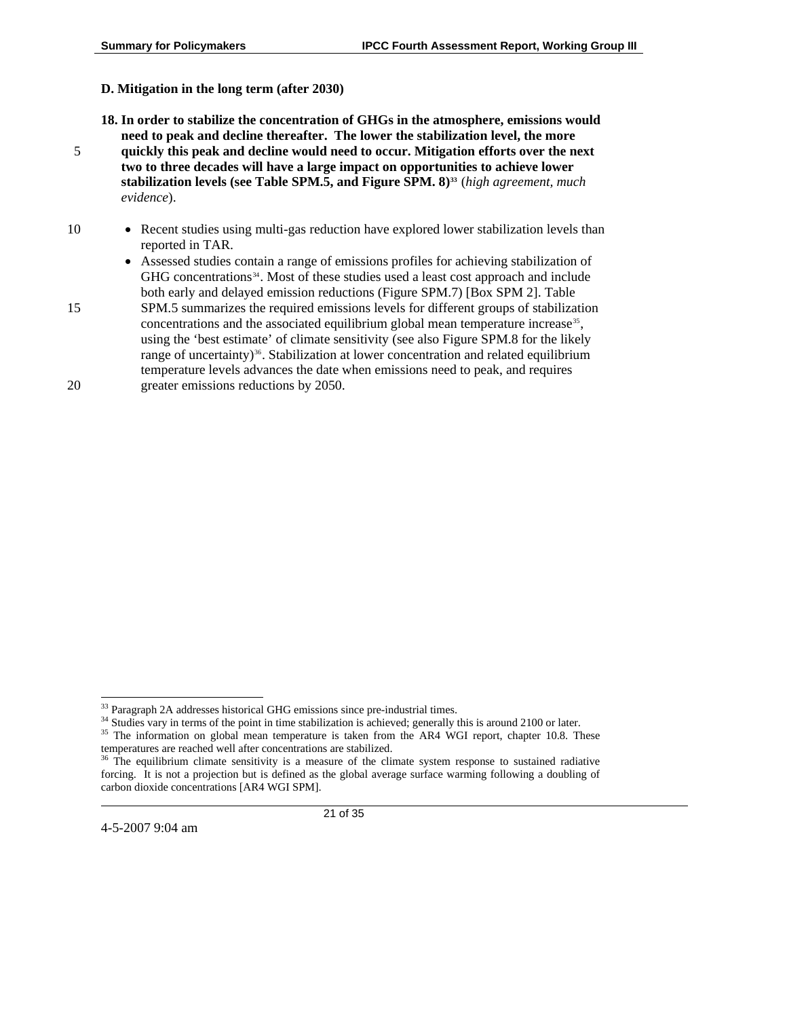# <span id="page-20-1"></span>**D. Mitigation in the long term (after 2030)**

- <span id="page-20-0"></span>**18. In order to stabilize the concentration of GHGs in the atmosphere, emissions would need to peak and decline thereafter. The lower the stabilization level, the more**
- 5 **quickly this peak and decline would need to occur. Mitigation efforts over the next two to three decades will have a large impact on opportunities to achieve lower stabilization levels (see Table SPM.5, and Figure SPM. 8)[33](#page-20-1)** (*high agreement, much evidence*).
- 10 • Recent studies using multi-gas reduction have explored lower stabilization levels than reported in TAR.
	- Assessed studies contain a range of emissions profiles for achieving stabilization of GHG concentrations<sup>[34](#page-20-1)</sup>. Most of these studies used a least cost approach and include both early and delayed emission reductions (Figure SPM.7) [Box SPM 2]. Table
- 15 20 SPM.5 summarizes the required emissions levels for different groups of stabilization concentrations and the associated equilibrium global mean temperature increase<sup>[35](#page-20-1)</sup>, using the 'best estimate' of climate sensitivity (see also Figure SPM.8 for the likely range of uncertainty)<sup>[36](#page-20-1)</sup>. Stabilization at lower concentration and related equilibrium temperature levels advances the date when emissions need to peak, and requires greater emissions reductions by 2050.

 $\overline{a}$ 

-

<sup>&</sup>lt;sup>33</sup> Paragraph 2A addresses historical GHG emissions since pre-industrial times.

<sup>&</sup>lt;sup>34</sup> Studies vary in terms of the point in time stabilization is achieved; generally this is around 2100 or later.

<sup>&</sup>lt;sup>35</sup> The information on global mean temperature is taken from the AR4 WGI report, chapter 10.8. These temperatures are reached well after concentrations are stabilized.

<sup>&</sup>lt;sup>36</sup> The equilibrium climate sensitivity is a measure of the climate system response to sustained radiative forcing. It is not a projection but is defined as the global average surface warming following a doubling of carbon dioxide concentrations [AR4 WGI SPM].

<sup>21</sup> of 35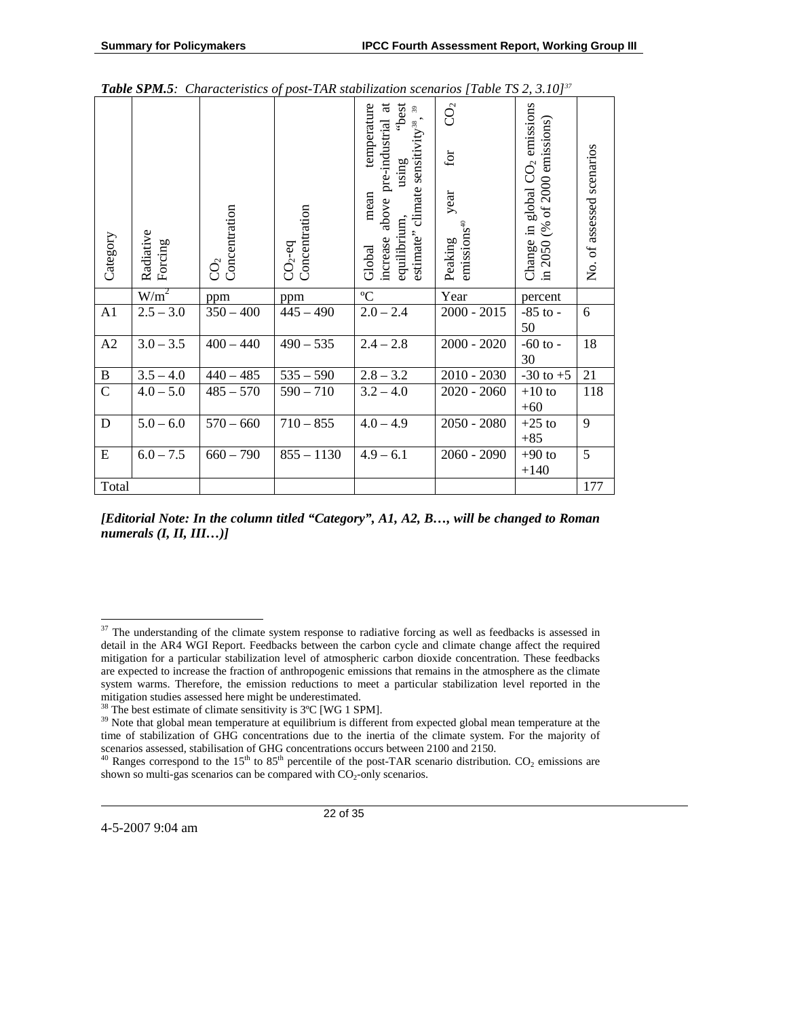| Category       | Radiative<br>Forcing | Concentration<br>$\mathcal{S}$ | Concentration<br>$CO2$ -eq | $\vec{a}$<br>tsaq,<br>temperature<br>$\mathfrak{F}$<br>estimate" climate sensitivity <sup>38</sup> ,<br>above pre-industrial<br>using<br>mean<br>equilibrium,<br>increase<br>Global | $\rm CO_2$<br>for<br>year<br>emissions <sup>40</sup><br>Peaking | in global CO <sub>2</sub> emissions<br>in $2050$ (% of $2000$ emissions)<br>Change i | No. of assessed scenarios |
|----------------|----------------------|--------------------------------|----------------------------|-------------------------------------------------------------------------------------------------------------------------------------------------------------------------------------|-----------------------------------------------------------------|--------------------------------------------------------------------------------------|---------------------------|
|                | $W/m^2$              | ppm                            | ppm                        | $\rm ^{o}C$                                                                                                                                                                         | Year                                                            | percent                                                                              |                           |
| A <sub>1</sub> | $2.5 - 3.0$          | $350 - 400$                    | $445 - 490$                | $2.0 - 2.4$                                                                                                                                                                         | $2000 - 2015$                                                   | $-85$ to $-$<br>50                                                                   | 6                         |
| A2             | $3.0 - 3.5$          | $400 - 440$                    | $490 - 535$                | $2.4 - 2.8$                                                                                                                                                                         | $2000 - 2020$                                                   | $-60$ to $-$<br>30                                                                   | 18                        |
| B              | $3.5 - 4.0$          | $440 - 485$                    | $535 - 590$                | $2.8 - 3.2$                                                                                                                                                                         | $2010 - 2030$                                                   | $-30$ to $+5$                                                                        | 21                        |
| $\mathbf C$    | $4.0 - 5.0$          | $485 - 570$                    | $590 - 710$                | $3.2 - 4.0$                                                                                                                                                                         | $2020 - 2060$                                                   | $+10$ to                                                                             | 118                       |
|                |                      |                                |                            |                                                                                                                                                                                     |                                                                 | $+60$                                                                                |                           |
| ${\bf D}$      | $5.0 - 6.0$          | $570 - 660$                    | $710 - 855$                | $4.0 - 4.9$                                                                                                                                                                         | $2050 - 2080$                                                   | $+25$ to                                                                             | 9                         |
|                |                      |                                |                            |                                                                                                                                                                                     |                                                                 | $+85$                                                                                |                           |
| E              | $6.0 - 7.5$          | $660 - 790$                    | $855 - 1130$               | $4.9 - 6.1$                                                                                                                                                                         | $2060 - 2090$                                                   | $+90$ to                                                                             | 5                         |
|                |                      |                                |                            |                                                                                                                                                                                     |                                                                 | $+140$                                                                               |                           |
| Total          |                      |                                |                            |                                                                                                                                                                                     |                                                                 |                                                                                      | 177                       |

<span id="page-21-0"></span>

|  |  |  |  | <b>Table SPM.5</b> : Characteristics of post-TAR stabilization scenarios [Table TS 2, 3.10] <sup>37</sup> |
|--|--|--|--|-----------------------------------------------------------------------------------------------------------|
|--|--|--|--|-----------------------------------------------------------------------------------------------------------|

*[Editorial Note: In the column titled "Category", A1, A2, B…, will be changed to Roman numerals (I, II, III…)]* 

 $\overline{a}$ 

-

 $37$  The understanding of the climate system response to radiative forcing as well as feedbacks is assessed in detail in the AR4 WGI Report. Feedbacks between the carbon cycle and climate change affect the required mitigation for a particular stabilization level of atmospheric carbon dioxide concentration. These feedbacks are expected to increase the fraction of anthropogenic emissions that remains in the atmosphere as the climate system warms. Therefore, the emission reductions to meet a particular stabilization level reported in the mitigation studies assessed here might be underestimated.

<sup>38</sup> The best estimate of climate sensitivity is 3ºC [WG 1 SPM].

<sup>&</sup>lt;sup>39</sup> Note that global mean temperature at equilibrium is different from expected global mean temperature at the time of stabilization of GHG concentrations due to the inertia of the climate system. For the majority of scenarios assessed, stabilisation of GHG concentrations occurs between 2100 and 2150.

 $40$  Ranges correspond to the 15<sup>th</sup> to 85<sup>th</sup> percentile of the post-TAR scenario distribution. CO<sub>2</sub> emissions are shown so multi-gas scenarios can be compared with  $CO<sub>2</sub>$ -only scenarios.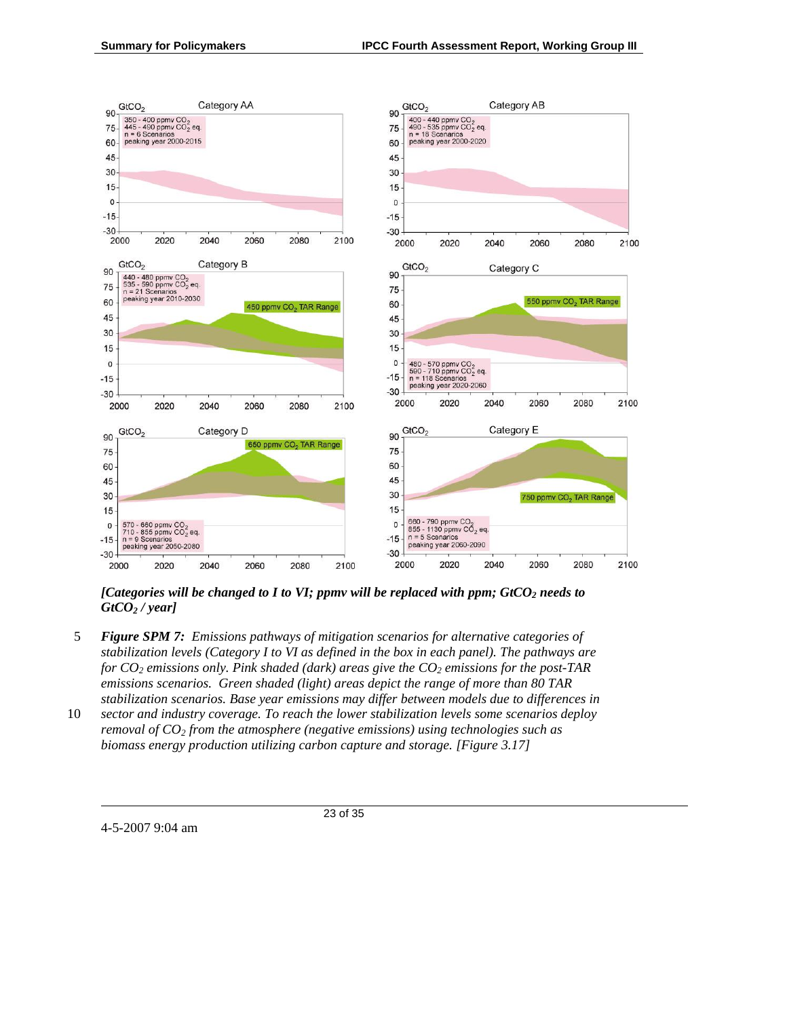

*[Categories will be changed to I to VI; ppmv will be replaced with ppm; GtCO2 needs to GtCO2 / year]* 

- *Figure SPM 7: Emissions pathways of mitigation scenarios for alternative categories of stabilization levels (Category I to VI as defined in the box in each panel). The pathways are*  for CO<sub>2</sub> emissions only. Pink shaded (dark) areas give the CO<sub>2</sub> emissions for the post-TAR 5 *emissions scenarios. Green shaded (light) areas depict the range of more than 80 TAR stabilization scenarios. Base year emissions may differ between models due to differences in*
- 10 *sector and industry coverage. To reach the lower stabilization levels some scenarios deploy removal of CO2 from the atmosphere (negative emissions) using technologies such as biomass energy production utilizing carbon capture and storage. [Figure 3.17]*

4-5-2007 9:04 am

 $\overline{a}$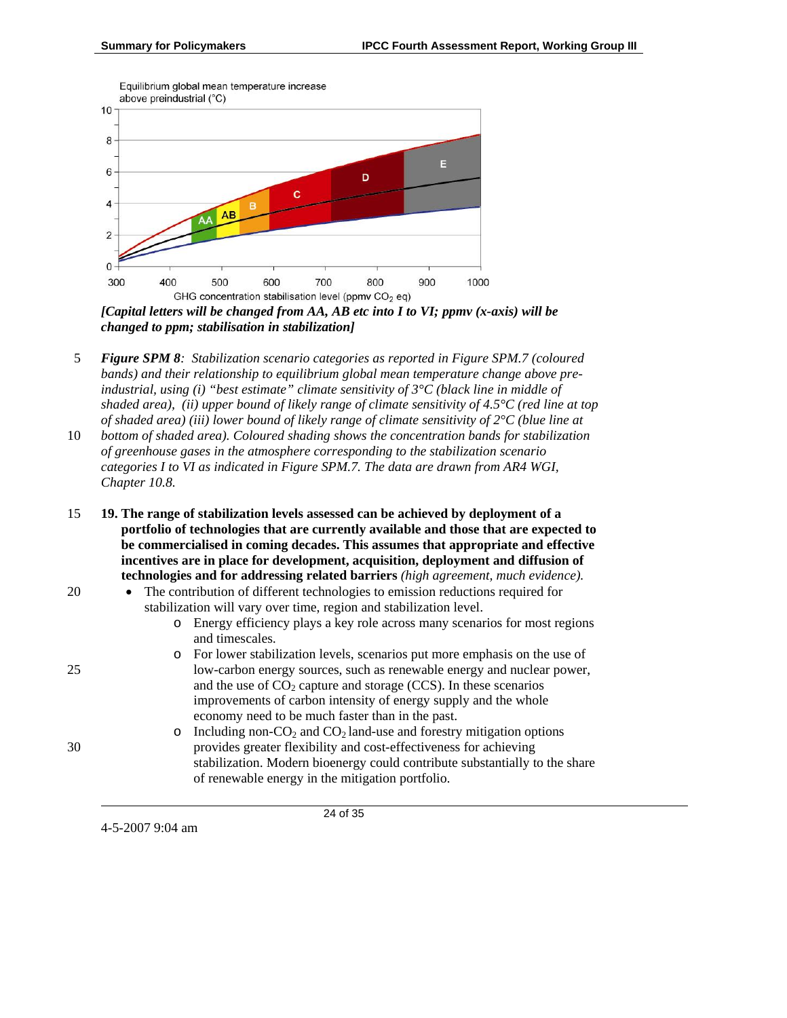

Equilibrium global mean temperature increase



- *Figure SPM 8: Stabilization scenario categories as reported in Figure SPM.7 (coloured bands) and their relationship to equilibrium global mean temperature change above preindustrial, using (i) "best estimate" climate sensitivity of 3°C (black line in middle of shaded area), (ii) upper bound of likely range of climate sensitivity of 4.5°C (red line at top of shaded area) (iii) lower bound of likely range of climate sensitivity of 2°C (blue line at*  5
- *bottom of shaded area). Coloured shading shows the concentration bands for stabilization of greenhouse gases in the atmosphere corresponding to the stabilization scenario categories I to VI as indicated in Figure SPM.7. The data are drawn from AR4 WGI, Chapter 10.8.*  10
- 15 20 **19. The range of stabilization levels assessed can be achieved by deployment of a portfolio of technologies that are currently available and those that are expected to be commercialised in coming decades. This assumes that appropriate and effective incentives are in place for development, acquisition, deployment and diffusion of technologies and for addressing related barriers** *(high agreement, much evidence).* • The contribution of different technologies to emission reductions required for
- stabilization will vary over time, region and stabilization level.
	- o Energy efficiency plays a key role across many scenarios for most regions and timescales.
	- o For lower stabilization levels, scenarios put more emphasis on the use of low-carbon energy sources, such as renewable energy and nuclear power, and the use of  $CO<sub>2</sub>$  capture and storage (CCS). In these scenarios improvements of carbon intensity of energy supply and the whole economy need to be much faster than in the past.
	- o Including non- $CO_2$  and  $CO_2$  land-use and forestry mitigation options provides greater flexibility and cost-effectiveness for achieving stabilization. Modern bioenergy could contribute substantially to the share of renewable energy in the mitigation portfolio.

4-5-2007 9:04 am

25

30

 $\overline{a}$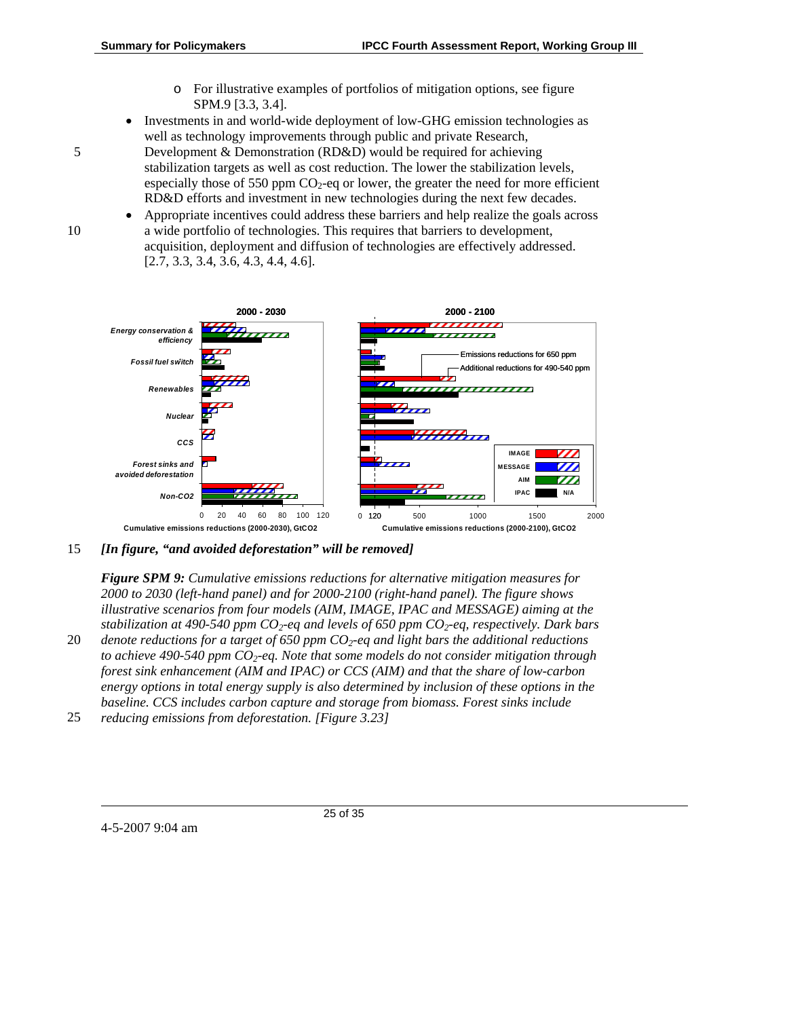- o For illustrative examples of portfolios of mitigation options, see figure SPM.9 [3.3, 3.4].
- Investments in and world-wide deployment of low-GHG emission technologies as well as technology improvements through public and private Research,

Development & Demonstration (RD&D) would be required for achieving stabilization targets as well as cost reduction. The lower the stabilization levels, especially those of 550 ppm  $CO<sub>2</sub>$ -eq or lower, the greater the need for more efficient RD&D efforts and investment in new technologies during the next few decades.

• Appropriate incentives could address these barriers and help realize the goals across a wide portfolio of technologies. This requires that barriers to development, acquisition, deployment and diffusion of technologies are effectively addressed. [2.7, 3.3, 3.4, 3.6, 4.3, 4.4, 4.6].



15 *[In figure, "and avoided deforestation" will be removed]* 

*Figure SPM 9: Cumulative emissions reductions for alternative mitigation measures for 2000 to 2030 (left-hand panel) and for 2000-2100 (right-hand panel). The figure shows illustrative scenarios from four models (AIM, IMAGE, IPAC and MESSAGE) aiming at the stabilization at 490-540 ppm CO2-eq and levels of 650 ppm CO2-eq, respectively. Dark bars* 

- 20 denote reductions for a target of 650 ppm  $CO_2$ -eq and light bars the additional reductions *to achieve 490-540 ppm CO<sub>2</sub>-eq. Note that some models do not consider mitigation through forest sink enhancement (AIM and IPAC) or CCS (AIM) and that the share of low-carbon energy options in total energy supply is also determined by inclusion of these options in the baseline. CCS includes carbon capture and storage from biomass. Forest sinks include*
- 25 *reducing emissions from deforestation. [Figure 3.23]*

 $\overline{a}$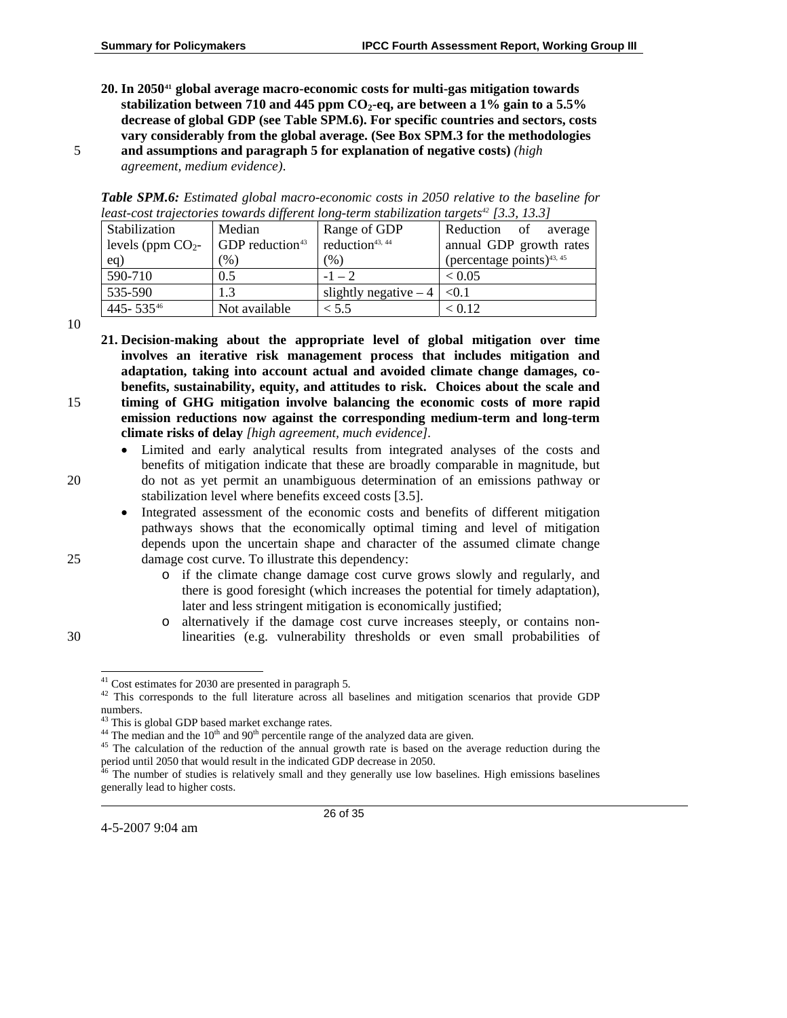<span id="page-25-0"></span>**20. In 2050[41](#page-25-0) global average macro-economic costs for multi-gas mitigation towards**  stabilization between 710 and 445 ppm  $CO<sub>2</sub>$ -eq, are between a  $1\%$  gain to a 5.5% **decrease of global GDP (see Table SPM.6). For specific countries and sectors, costs vary considerably from the global average. (See Box SPM.3 for the methodologies and assumptions and paragraph 5 for explanation of negative costs)** *(high* 

*agreement, medium evidence)*.

*Table SPM.6: Estimated global macro-economic costs in 2050 relative to the baseline for least-cost trajectories towards different long-term stabilization targets<sup>42</sup> [3.3, 13.3]* 

| Stabilization       | Median                      | Range of GDP                | Reduction of average         |
|---------------------|-----------------------------|-----------------------------|------------------------------|
| levels (ppm $CO2$ - | GDP reduction <sup>43</sup> | reduction <sup>43, 44</sup> | annual GDP growth rates      |
| eq)                 | (96)                        | (96)                        | (percentage points) $43, 45$ |
| 590-710             | 0.5                         | $-1-2$                      | ${}< 0.05$                   |
| 535-590             | 1.3                         | slightly negative $-4$      | < 0.1                        |
| 445-53546           | Not available               | :5.5                        | < 0.12                       |

<span id="page-25-1"></span>10

15

5

- **21. Decision-making about the appropriate level of global mitigation over time involves an iterative risk management process that includes mitigation and adaptation, taking into account actual and avoided climate change damages, cobenefits, sustainability, equity, and attitudes to risk. Choices about the scale and timing of GHG mitigation involve balancing the economic costs of more rapid emission reductions now against the corresponding medium-term and long-term climate risks of delay** *[high agreement, much evidence].* 
	- Limited and early analytical results from integrated analyses of the costs and benefits of mitigation indicate that these are broadly comparable in magnitude, but do not as yet permit an unambiguous determination of an emissions pathway or stabilization level where benefits exceed costs [3.5].
	- Integrated assessment of the economic costs and benefits of different mitigation pathways shows that the economically optimal timing and level of mitigation depends upon the uncertain shape and character of the assumed climate change damage cost curve. To illustrate this dependency:
		- o if the climate change damage cost curve grows slowly and regularly, and there is good foresight (which increases the potential for timely adaptation), later and less stringent mitigation is economically justified;
		- o alternatively if the damage cost curve increases steeply, or contains nonlinearities (e.g. vulnerability thresholds or even small probabilities of

 $\overline{a}$ 

26 of 35

20

25

<sup>&</sup>lt;u>.</u> <sup>41</sup> Cost estimates for 2030 are presented in paragraph 5.

<sup>&</sup>lt;sup>42</sup> This corresponds to the full literature across all baselines and mitigation scenarios that provide GDP numbers.

<sup>&</sup>lt;sup>43</sup> This is global GDP based market exchange rates.<br><sup>44</sup> The median and the  $10^{th}$  and  $90^{th}$  percentile range of the analyzed data are given.

<sup>&</sup>lt;sup>45</sup> The calculation of the reduction of the annual growth rate is based on the average reduction during the period until 2050 that would result in the indicated GDP decrease in 2050.

The number of studies is relatively small and they generally use low baselines. High emissions baselines generally lead to higher costs.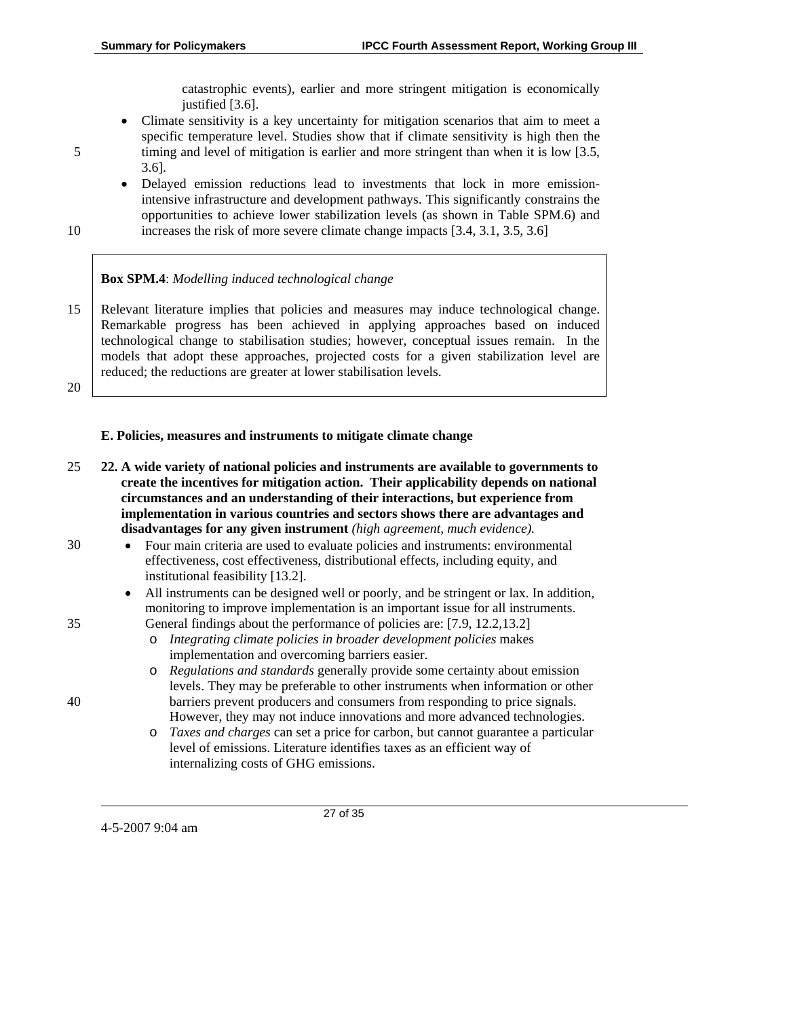catastrophic events), earlier and more stringent mitigation is economically justified [3.6].

- Climate sensitivity is a key uncertainty for mitigation scenarios that aim to meet a specific temperature level. Studies show that if climate sensitivity is high then the timing and level of mitigation is earlier and more stringent than when it is low [3.5, 3.6].
- Delayed emission reductions lead to investments that lock in more emissionintensive infrastructure and development pathways. This significantly constrains the opportunities to achieve lower stabilization levels (as shown in Table SPM.6) and increases the risk of more severe climate change impacts [3.4, 3.1, 3.5, 3.6]
- 10

<span id="page-26-0"></span>5

# **Box SPM.4**: *Modelling induced technological change*

15 Relevant literature implies that policies and measures may induce technological change. Remarkable progress has been achieved in applying approaches based on induced technological change to stabilisation studies; however, conceptual issues remain. In the models that adopt these approaches, projected costs for a given stabilization level are reduced; the reductions are greater at lower stabilisation levels.

20

35

40

# **E. Policies, measures and instruments to mitigate climate change**

- 25 **22. A wide variety of national policies and instruments are available to governments to create the incentives for mitigation action. Their applicability depends on national circumstances and an understanding of their interactions, but experience from implementation in various countries and sectors shows there are advantages and disadvantages for any given instrument** *(high agreement, much evidence).*
- 30 • Four main criteria are used to evaluate policies and instruments: environmental effectiveness, cost effectiveness, distributional effects, including equity, and institutional feasibility [13.2].
	- All instruments can be designed well or poorly, and be stringent or lax. In addition, monitoring to improve implementation is an important issue for all instruments.
	- General findings about the performance of policies are: [7.9, 12.2,13.2]
		- o *Integrating climate policies in broader development policies* makes implementation and overcoming barriers easier.
		- o *Regulations and standards* generally provide some certainty about emission levels. They may be preferable to other instruments when information or other barriers prevent producers and consumers from responding to price signals. However, they may not induce innovations and more advanced technologies.
		- o *Taxes and charges* can set a price for carbon, but cannot guarantee a particular level of emissions. Literature identifies taxes as an efficient way of internalizing costs of GHG emissions.

4-5-2007 9:04 am

 $\overline{a}$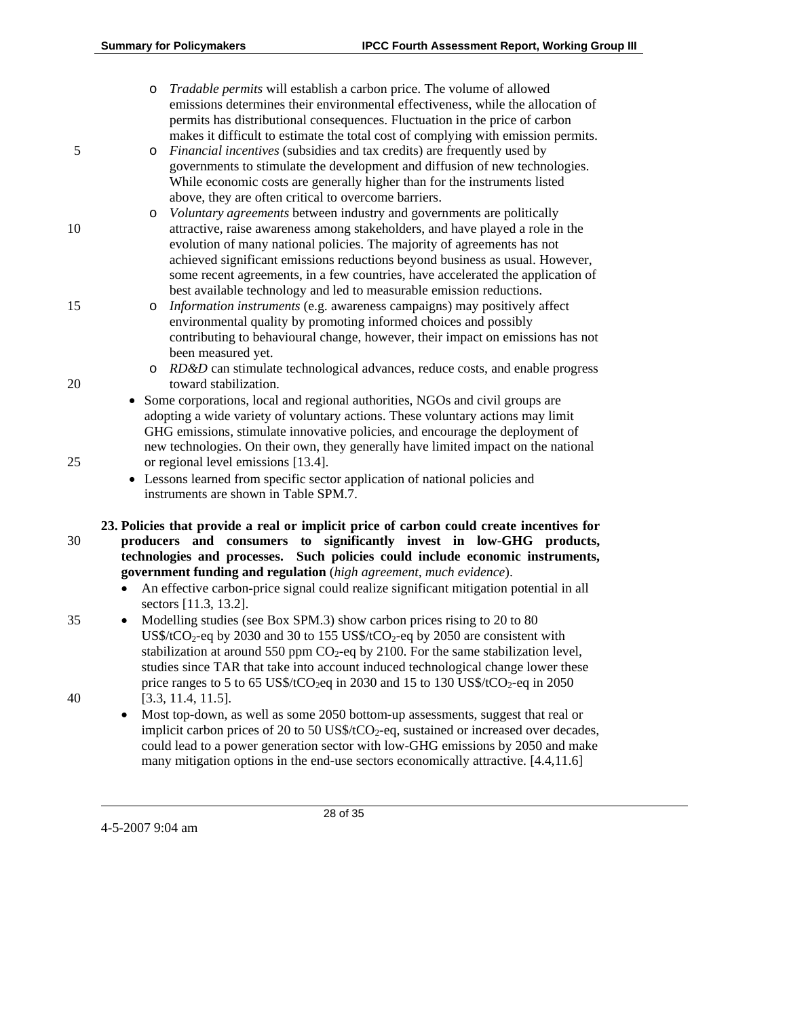- 5 10 15 20 25 o *Tradable permits* will establish a carbon price. The volume of allowed emissions determines their environmental effectiveness, while the allocation of permits has distributional consequences. Fluctuation in the price of carbon makes it difficult to estimate the total cost of complying with emission permits. o *Financial incentives* (subsidies and tax credits) are frequently used by governments to stimulate the development and diffusion of new technologies. While economic costs are generally higher than for the instruments listed above, they are often critical to overcome barriers. o *Voluntary agreements* between industry and governments are politically attractive, raise awareness among stakeholders, and have played a role in the evolution of many national policies. The majority of agreements has not achieved significant emissions reductions beyond business as usual. However, some recent agreements, in a few countries, have accelerated the application of best available technology and led to measurable emission reductions. o *Information instruments* (e.g. awareness campaigns) may positively affect environmental quality by promoting informed choices and possibly contributing to behavioural change, however, their impact on emissions has not been measured yet. o *RD&D* can stimulate technological advances, reduce costs, and enable progress toward stabilization. • Some corporations, local and regional authorities, NGOs and civil groups are adopting a wide variety of voluntary actions. These voluntary actions may limit GHG emissions, stimulate innovative policies, and encourage the deployment of new technologies. On their own, they generally have limited impact on the national or regional level emissions [13.4]. • Lessons learned from specific sector application of national policies and
	- instruments are shown in Table SPM.7.
- 30 **23. Policies that provide a real or implicit price of carbon could create incentives for producers and consumers to significantly invest in low-GHG products, technologies and processes. Such policies could include economic instruments, government funding and regulation** (*high agreement, much evidence*).
	- An effective carbon-price signal could realize significant mitigation potential in all sectors [11.3, 13.2].
	- Modelling studies (see Box SPM.3) show carbon prices rising to 20 to 80 US\$/tCO<sub>2</sub>-eq by 2030 and 30 to 155 US\$/tCO<sub>2</sub>-eq by 2050 are consistent with stabilization at around 550 ppm  $CO_2$ -eq by 2100. For the same stabilization level, studies since TAR that take into account induced technological change lower these price ranges to 5 to 65 US\$/tCO<sub>2</sub>eq in 2030 and 15 to 130 US\$/tCO<sub>2</sub>-eq in 2050 [3.3, 11.4, 11.5].
		- Most top-down, as well as some 2050 bottom-up assessments, suggest that real or implicit carbon prices of 20 to 50  $\text{US}\frac{C}{C}$ -eq, sustained or increased over decades, could lead to a power generation sector with low-GHG emissions by 2050 and make many mitigation options in the end-use sectors economically attractive. [4.4,11.6]

 $\overline{a}$ 

35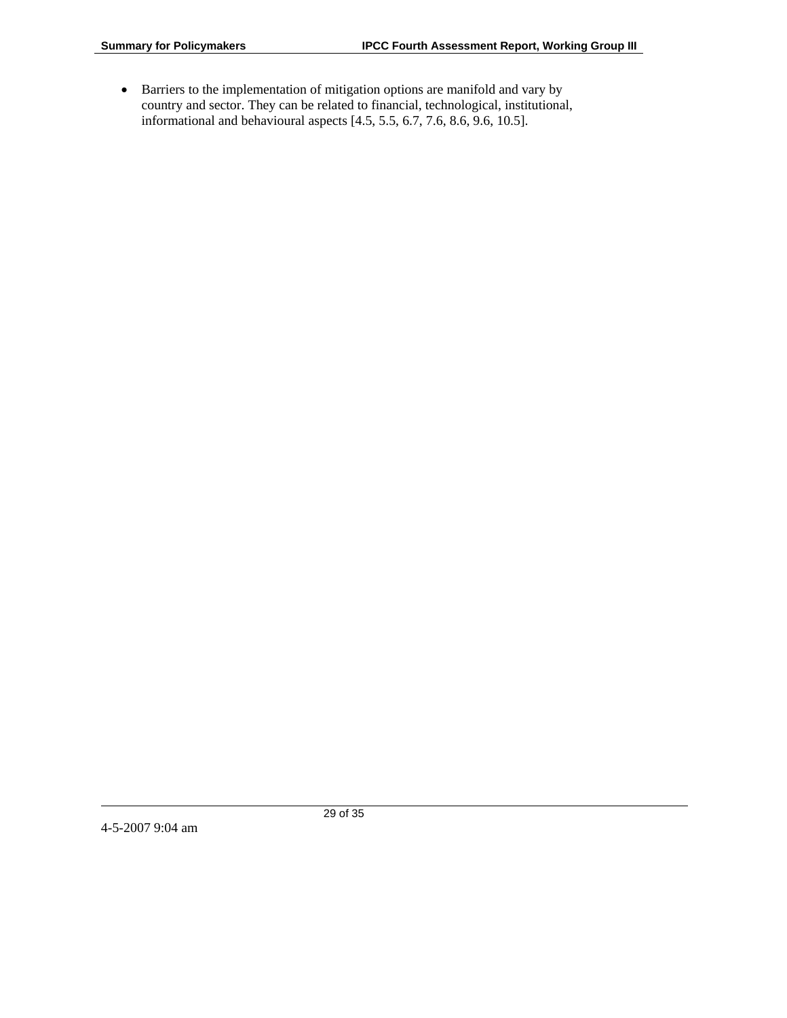• Barriers to the implementation of mitigation options are manifold and vary by country and sector. They can be related to financial, technological, institutional, informational and behavioural aspects [4.5, 5.5, 6.7, 7.6, 8.6, 9.6, 10.5].

 $\overline{a}$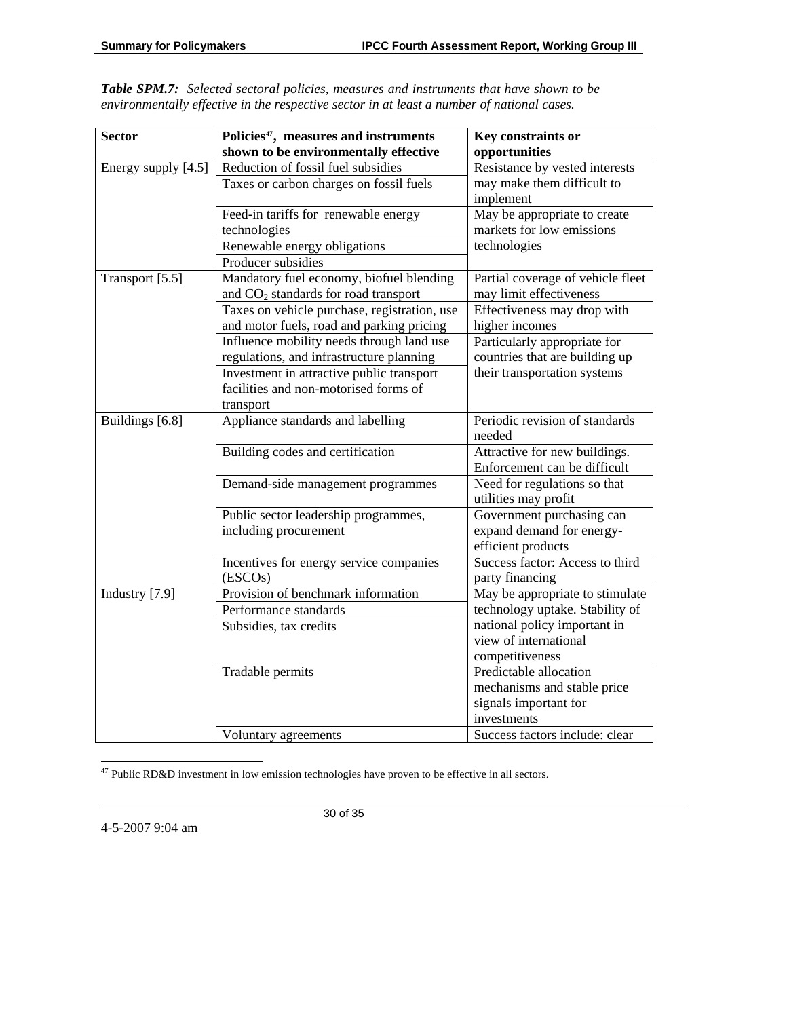| <b>Sector</b>       | Policies <sup>47</sup> , measures and instruments | Key constraints or                |
|---------------------|---------------------------------------------------|-----------------------------------|
|                     | shown to be environmentally effective             | opportunities                     |
| Energy supply [4.5] | Reduction of fossil fuel subsidies                | Resistance by vested interests    |
|                     | Taxes or carbon charges on fossil fuels           | may make them difficult to        |
|                     |                                                   | implement                         |
|                     | Feed-in tariffs for renewable energy              | May be appropriate to create      |
|                     | technologies                                      | markets for low emissions         |
|                     | Renewable energy obligations                      | technologies                      |
|                     | Producer subsidies                                |                                   |
| Transport [5.5]     | Mandatory fuel economy, biofuel blending          | Partial coverage of vehicle fleet |
|                     | and CO <sub>2</sub> standards for road transport  | may limit effectiveness           |
|                     | Taxes on vehicle purchase, registration, use      | Effectiveness may drop with       |
|                     | and motor fuels, road and parking pricing         | higher incomes                    |
|                     | Influence mobility needs through land use         | Particularly appropriate for      |
|                     | regulations, and infrastructure planning          | countries that are building up    |
|                     | Investment in attractive public transport         | their transportation systems      |
|                     | facilities and non-motorised forms of             |                                   |
|                     | transport                                         |                                   |
| Buildings [6.8]     | Appliance standards and labelling                 | Periodic revision of standards    |
|                     |                                                   | needed                            |
|                     | Building codes and certification                  | Attractive for new buildings.     |
|                     |                                                   | Enforcement can be difficult      |
|                     | Demand-side management programmes                 | Need for regulations so that      |
|                     |                                                   | utilities may profit              |
|                     | Public sector leadership programmes,              | Government purchasing can         |
|                     | including procurement                             | expand demand for energy-         |
|                     |                                                   | efficient products                |
|                     | Incentives for energy service companies           | Success factor: Access to third   |
|                     | (ESCOs)                                           | party financing                   |
| Industry [7.9]      | Provision of benchmark information                | May be appropriate to stimulate   |
|                     | Performance standards                             | technology uptake. Stability of   |
|                     | Subsidies, tax credits                            | national policy important in      |
|                     |                                                   | view of international             |
|                     |                                                   | competitiveness                   |
|                     | Tradable permits                                  | Predictable allocation            |
|                     |                                                   | mechanisms and stable price       |
|                     |                                                   | signals important for             |
|                     |                                                   | investments                       |
|                     | Voluntary agreements                              | Success factors include: clear    |

<span id="page-29-0"></span>*Table SPM.7: Selected sectoral policies, measures and instruments that have shown to be environmentally effective in the respective sector in at least a number of national cases.* 

- $47$  Public RD&D investment in low emission technologies have proven to be effective in all sectors.

4-5-2007 9:04 am

 $\overline{a}$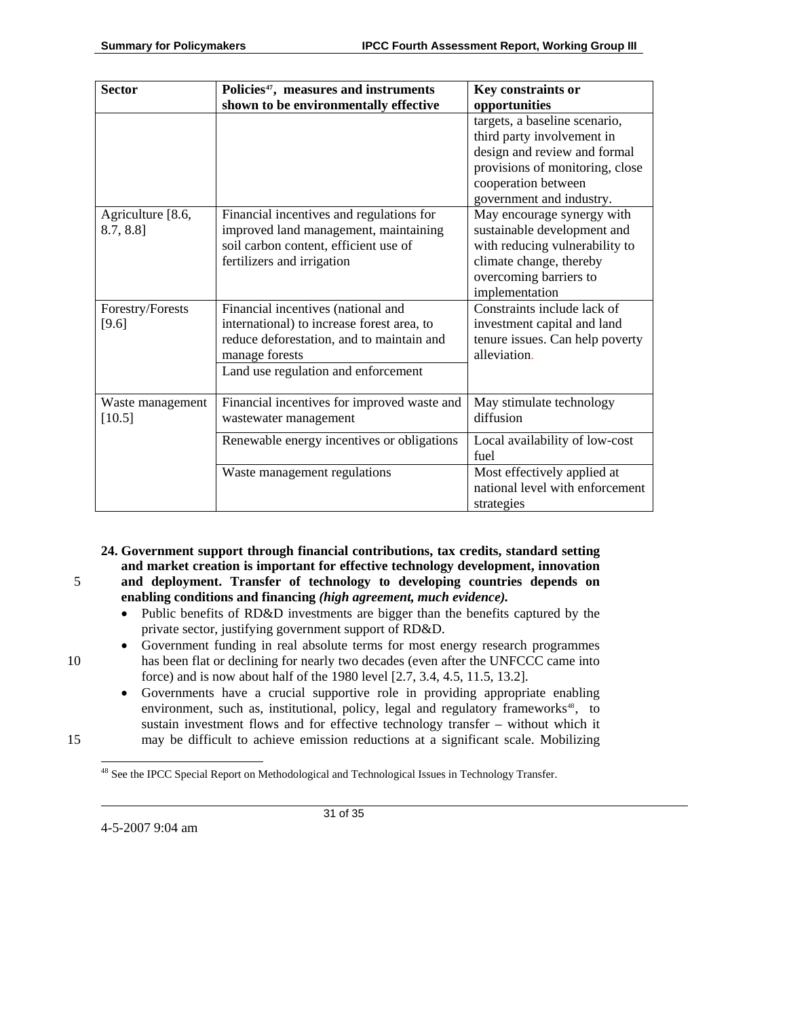<span id="page-30-0"></span>

| <b>Sector</b>                  | Policies <sup>47</sup> , measures and instruments                                                                                                                                      | Key constraints or                                                                                                                                                                |
|--------------------------------|----------------------------------------------------------------------------------------------------------------------------------------------------------------------------------------|-----------------------------------------------------------------------------------------------------------------------------------------------------------------------------------|
|                                | shown to be environmentally effective                                                                                                                                                  | opportunities                                                                                                                                                                     |
|                                |                                                                                                                                                                                        | targets, a baseline scenario,<br>third party involvement in<br>design and review and formal<br>provisions of monitoring, close<br>cooperation between<br>government and industry. |
| Agriculture [8.6,<br>8.7, 8.8] | Financial incentives and regulations for<br>improved land management, maintaining<br>soil carbon content, efficient use of<br>fertilizers and irrigation                               | May encourage synergy with<br>sustainable development and<br>with reducing vulnerability to<br>climate change, thereby<br>overcoming barriers to<br>implementation                |
| Forestry/Forests<br>$[9.6]$    | Financial incentives (national and<br>international) to increase forest area, to<br>reduce deforestation, and to maintain and<br>manage forests<br>Land use regulation and enforcement | Constraints include lack of<br>investment capital and land<br>tenure issues. Can help poverty<br>alleviation.                                                                     |
| Waste management<br>[10.5]     | Financial incentives for improved waste and<br>wastewater management                                                                                                                   | May stimulate technology<br>diffusion                                                                                                                                             |
|                                | Renewable energy incentives or obligations                                                                                                                                             | Local availability of low-cost<br>fuel                                                                                                                                            |
|                                | Waste management regulations                                                                                                                                                           | Most effectively applied at<br>national level with enforcement<br>strategies                                                                                                      |

**24. Government support through financial contributions, tax credits, standard setting and market creation is important for effective technology development, innovation and deployment. Transfer of technology to developing countries depends on enabling conditions and financing** *(high agreement, much evidence).* 

- Public benefits of RD&D investments are bigger than the benefits captured by the private sector, justifying government support of RD&D.
- Government funding in real absolute terms for most energy research programmes has been flat or declining for nearly two decades (even after the UNFCCC came into force) and is now about half of the 1980 level [2.7, 3.4, 4.5, 11.5, 13.2].
	- Governments have a crucial supportive role in providing appropriate enabling environment, such as, institutional, policy, legal and regulatory frameworks<sup>[48](#page-30-0)</sup>, to sustain investment flows and for effective technology transfer – without which it may be difficult to achieve emission reductions at a significant scale. Mobilizing
- 15

10

5

 $\overline{a}$ 

-

<sup>&</sup>lt;sup>48</sup> See the IPCC Special Report on Methodological and Technological Issues in Technology Transfer.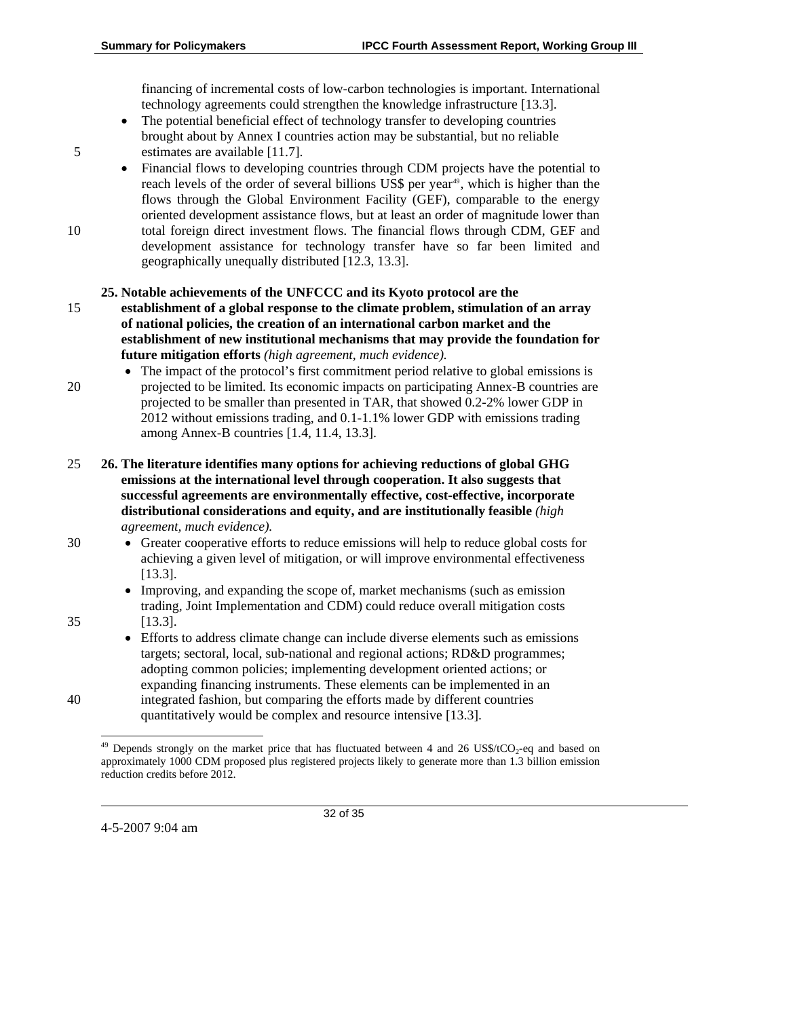financing of incremental costs of low-carbon technologies is important. International technology agreements could strengthen the knowledge infrastructure [13.3].

- The potential beneficial effect of technology transfer to developing countries brought about by Annex I countries action may be substantial, but no reliable estimates are available [11.7].
- Financial flows to developing countries through CDM projects have the potential to reach levels of the order of several billions US\$ per year<sup>[49](#page-31-0)</sup>, which is higher than the flows through the Global Environment Facility (GEF), comparable to the energy oriented development assistance flows, but at least an order of magnitude lower than total foreign direct investment flows. The financial flows through CDM, GEF and development assistance for technology transfer have so far been limited and geographically unequally distributed [12.3, 13.3].

# **25. Notable achievements of the UNFCCC and its Kyoto protocol are the**

- 15 **establishment of a global response to the climate problem, stimulation of an array of national policies, the creation of an international carbon market and the establishment of new institutional mechanisms that may provide the foundation for future mitigation efforts** *(high agreement, much evidence).* 
	- The impact of the protocol's first commitment period relative to global emissions is projected to be limited. Its economic impacts on participating Annex-B countries are projected to be smaller than presented in TAR, that showed 0.2-2% lower GDP in 2012 without emissions trading, and 0.1-1.1% lower GDP with emissions trading among Annex-B countries [1.4, 11.4, 13.3].
- 25 **26. The literature identifies many options for achieving reductions of global GHG emissions at the international level through cooperation. It also suggests that successful agreements are environmentally effective, cost-effective, incorporate distributional considerations and equity, and are institutionally feasible** *(high agreement, much evidence).*
- 30 • Greater cooperative efforts to reduce emissions will help to reduce global costs for achieving a given level of mitigation, or will improve environmental effectiveness [13.3].
	- Improving, and expanding the scope of, market mechanisms (such as emission trading, Joint Implementation and CDM) could reduce overall mitigation costs [13.3].
	- Efforts to address climate change can include diverse elements such as emissions targets; sectoral, local, sub-national and regional actions; RD&D programmes; adopting common policies; implementing development oriented actions; or expanding financing instruments. These elements can be implemented in an integrated fashion, but comparing the efforts made by different countries
	- <u>.</u> quantitatively would be complex and resource intensive [13.3].

4-5-2007 9:04 am

 $\overline{a}$ 

<span id="page-31-0"></span>5

10

20

35

 $49$  Depends strongly on the market price that has fluctuated between 4 and 26 US\$/tCO<sub>2</sub>-eq and based on approximately 1000 CDM proposed plus registered projects likely to generate more than 1.3 billion emission reduction credits before 2012.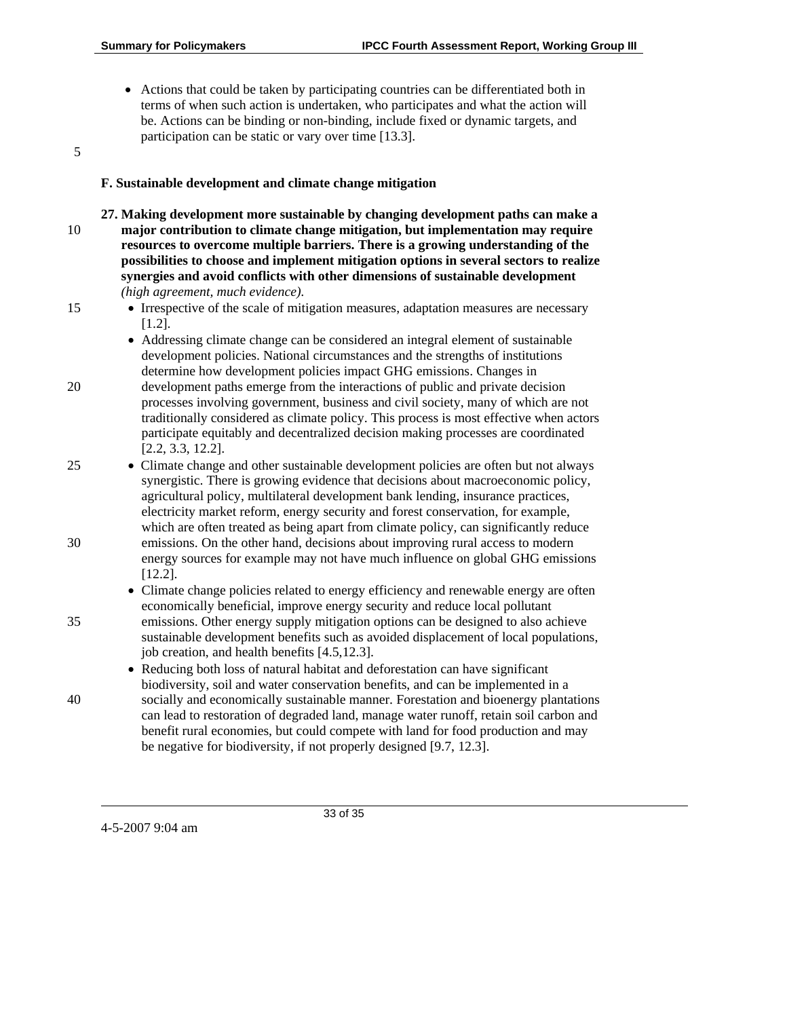• Actions that could be taken by participating countries can be differentiated both in terms of when such action is undertaken, who participates and what the action will be. Actions can be binding or non-binding, include fixed or dynamic targets, and participation can be static or vary over time [13.3].

# <span id="page-32-0"></span>5

15

35

# **F. Sustainable development and climate change mitigation**

- 10 **27. Making development more sustainable by changing development paths can make a major contribution to climate change mitigation, but implementation may require resources to overcome multiple barriers. There is a growing understanding of the possibilities to choose and implement mitigation options in several sectors to realize synergies and avoid conflicts with other dimensions of sustainable development**  *(high agreement, much evidence).* 
	- Irrespective of the scale of mitigation measures, adaptation measures are necessary [1.2].
		- Addressing climate change can be considered an integral element of sustainable development policies. National circumstances and the strengths of institutions determine how development policies impact GHG emissions. Changes in
- 20 development paths emerge from the interactions of public and private decision processes involving government, business and civil society, many of which are not traditionally considered as climate policy. This process is most effective when actors participate equitably and decentralized decision making processes are coordinated [2.2, 3.3, 12.2].
- 25 30 • Climate change and other sustainable development policies are often but not always synergistic. There is growing evidence that decisions about macroeconomic policy, agricultural policy, multilateral development bank lending, insurance practices, electricity market reform, energy security and forest conservation, for example, which are often treated as being apart from climate policy, can significantly reduce
	- emissions. On the other hand, decisions about improving rural access to modern energy sources for example may not have much influence on global GHG emissions [12.2].
		- Climate change policies related to energy efficiency and renewable energy are often economically beneficial, improve energy security and reduce local pollutant
		- emissions. Other energy supply mitigation options can be designed to also achieve sustainable development benefits such as avoided displacement of local populations, job creation, and health benefits [4.5,12.3].
			- Reducing both loss of natural habitat and deforestation can have significant biodiversity, soil and water conservation benefits, and can be implemented in a
- 40 socially and economically sustainable manner. Forestation and bioenergy plantations can lead to restoration of degraded land, manage water runoff, retain soil carbon and benefit rural economies, but could compete with land for food production and may be negative for biodiversity, if not properly designed [9.7, 12.3].

 $\overline{a}$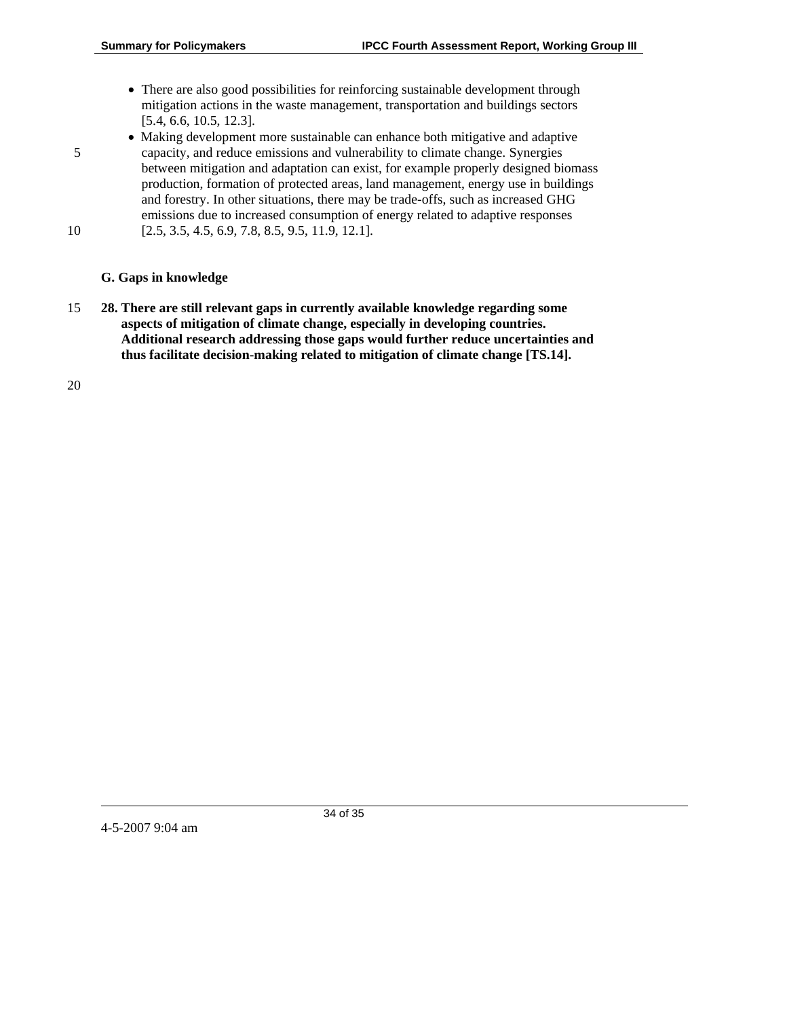- There are also good possibilities for reinforcing sustainable development through mitigation actions in the waste management, transportation and buildings sectors [5.4, 6.6, 10.5, 12.3].
- Making development more sustainable can enhance both mitigative and adaptive capacity, and reduce emissions and vulnerability to climate change. Synergies between mitigation and adaptation can exist, for example properly designed biomass production, formation of protected areas, land management, energy use in buildings and forestry. In other situations, there may be trade-offs, such as increased GHG emissions due to increased consumption of energy related to adaptive responses [2.5, 3.5, 4.5, 6.9, 7.8, 8.5, 9.5, 11.9, 12.1].

## **G. Gaps in knowledge**

15 **28. There are still relevant gaps in currently available knowledge regarding some aspects of mitigation of climate change, especially in developing countries. Additional research addressing those gaps would further reduce uncertainties and thus facilitate decision-making related to mitigation of climate change [TS.14].** 

20

<span id="page-33-0"></span>5

10

 $\overline{a}$